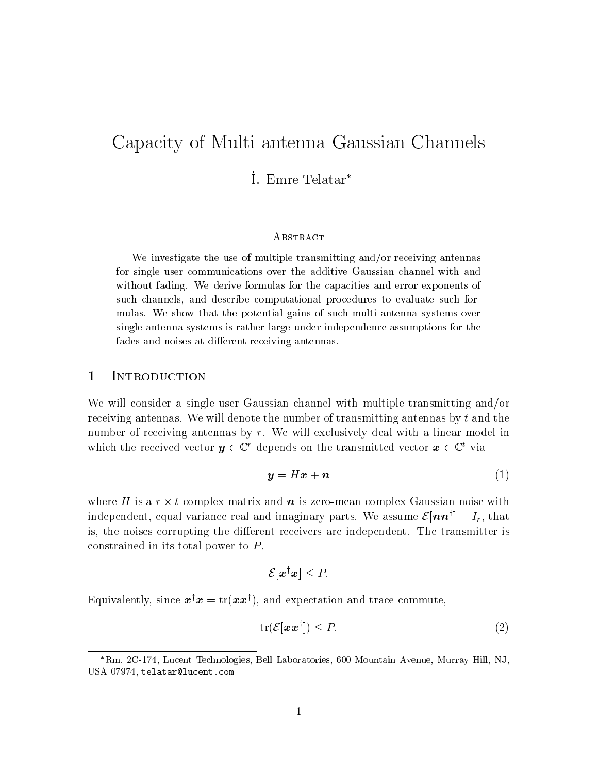# Capacity of Multi-antenna Gaussian Channels

## I. Emre Telatar\*

#### **ABSTRACT**

We investigate the use of multiple transmitting andor receiving antennas for single user communications over the additive Gaussian channel with and with the fading Western formulas formulas for the capacities and exponents of the capacities of the capacities such channels- and describe computational procedures to describe and the computational procedures to evaluate mulas We show that the potential gains of such multiples systems over systems over single-antenna systems is rather large under independence assumptions for the fades and noises at different receiving antennas.

## 1 INTRODUCTION

We will consider a single user Gaussian channel with multiple transmitting and/or receiving antennas. We will denote the number of transmitting antennas by  $t$  and the number of receiving antennas by  $r$ . We will exclusively deal with a linear model in which the received vector  $y \in \mathbb{C}^r$  depends on the transmitted vector  $x \in \mathbb{C}^r$  via

$$
y = Hx + n \tag{1}
$$

where H is a  $r \times t$  complex matrix and n is zero-mean complex Gaussian noise with independent, equal variance real and imaginary parts. We assume  $\mathcal{E}[\boldsymbol{nn}^{\dagger}]=I_r,$  that is, the noises corrupting the different receivers are independent. The transmitter is constrained in its total power to  $P$ ,

$$
\mathcal{E}[\bm{x}^{\dagger}\bm{x}] \leq P
$$

Equivalently, since  $x \in x = \mathrm{tr}(xx)$ , and expectation and trace commute,

$$
\operatorname{tr}(\mathcal{E}[\boldsymbol{x}\boldsymbol{x}^{\dagger}]) \le P. \tag{2}
$$

<sup>-</sup>Kin. 20-174, Lucent Technologies, Bell Laboratories, 000 Mountain Avenue, Murray Hill, NJ, USA 07974, telatar@lucent.com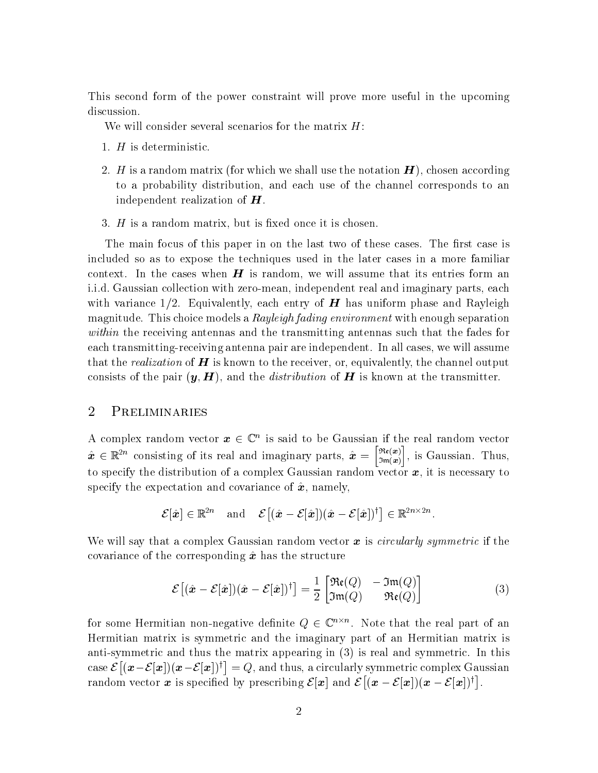This second form of the power constraint will prove more useful in the upcoming discussion.

We will consider several scenarios for the matrix  $H$ :

- 1.  $H$  is deterministic.
- 2. H is a random matrix (for which we shall use the notation  $H$ ), chosen according to a probability distribution and each use of the channel corresponds to an independent realization of  $H$ .
- 3.  $H$  is a random matrix, but is fixed once it is chosen.

The main focus of this paper in on the last two of these cases. The first case is included so as to expose the techniques used in the later cases in a more familiar context. In the cases when  $H$  is random, we will assume that its entries form an i.i.d. Gaussian collection with zero-mean, independent real and imaginary parts, each with variance  $1/2$ . Equivalently, each entry of **H** has uniform phase and Rayleigh magnitude. This choice models a  $Rayleigh fading$  environment with enough separation within the receiving antennas and the transmitting antennas such that the fades for each transmitting-receiving antenna pair are independent. In all cases, we will assume that the *realization* of  $\boldsymbol{H}$  is known to the receiver, or, equivalently, the channel output consists of the pair  $\{g\}$  is the distribution of H is the distribution of H is the distribution of H is a consistent of H is

## 2 **PRELIMINARIES**

A complex random vector  $\bm{x} \in \mathbb{C}^n$  is said to be Gaussian if the real random vector  $\hat{\mathbf{x}} \in \mathbb{R}^{2n}$  consisting of its real and imaginary parts,  $\hat{\mathbf{x}} = \begin{bmatrix} \Re(\mathbf{x}) \\ \Im(\mathbf{x}) \end{bmatrix}$ , is G  $\sim \cdots$ in the contract of the contract of the contract of the contract of the contract of the contract of the contract of the contract of the contract of the contract of the contract of the contract of the contract of the contrac is given the contract of the contract of the contract of the contract of the contract of the contract of the contract of the contract of the contract of the contract of the contract of the contract of the contract of the c to specify the distribution of a complex Gaussian random vector  $x$ , it is necessary to specify the expectation and covariance of  $\hat{x}$ , namely,

$$
\mathcal{E}[\hat{\boldsymbol{x}}] \in \mathbb{R}^{2n} \quad \text{and} \quad \mathcal{E}\big[(\hat{\boldsymbol{x}}-\mathcal{E}[\hat{\boldsymbol{x}}])(\hat{\boldsymbol{x}}-\mathcal{E}[\hat{\boldsymbol{x}}])^{\dagger}\big] \in \mathbb{R}^{2n \times 2n}.
$$

We will say that a complex Gaussian random vector  $\boldsymbol{x}$  is *circularly symmetric* if the covariance of the corresponding  $\hat{x}$  has the structure

$$
\mathcal{E}\left[ (\hat{\boldsymbol{x}} - \mathcal{E}[\hat{\boldsymbol{x}}]) (\hat{\boldsymbol{x}} - \mathcal{E}[\hat{\boldsymbol{x}}])^{\dagger} \right] = \frac{1}{2} \begin{bmatrix} \Re(\boldsymbol{Q}) & -\Im(\boldsymbol{Q}) \\ \Im(\boldsymbol{Q}) & \Re(\boldsymbol{Q}) \end{bmatrix} \tag{3}
$$

for some Hermitian non-negative definite  $Q \in \mathbb{C}^{n \times n}$ . Note that the real part of an Hermitian matrix is symmetric and the imaginary part of an Hermitian matrix is anti-symmetric and thus the matrix appearing in (3) is real and symmetric. In this case  $\mathcal{E}[(\bm{x}-\mathcal{E}[\bm{x}])(\bm{x}-\mathcal{E}[\bm{x}])^{\dagger}]=Q$ , and thus, a circularly symmetric complex Gaussian random vector x is specified by prescribing  $\mathcal{E}[\mathbf{x}]$  and  $\mathcal{E}[(\mathbf{x}-\mathcal{E}[\mathbf{x}])(\mathbf{x}-\mathcal{E}[\mathbf{x}])^{\dagger}]$ .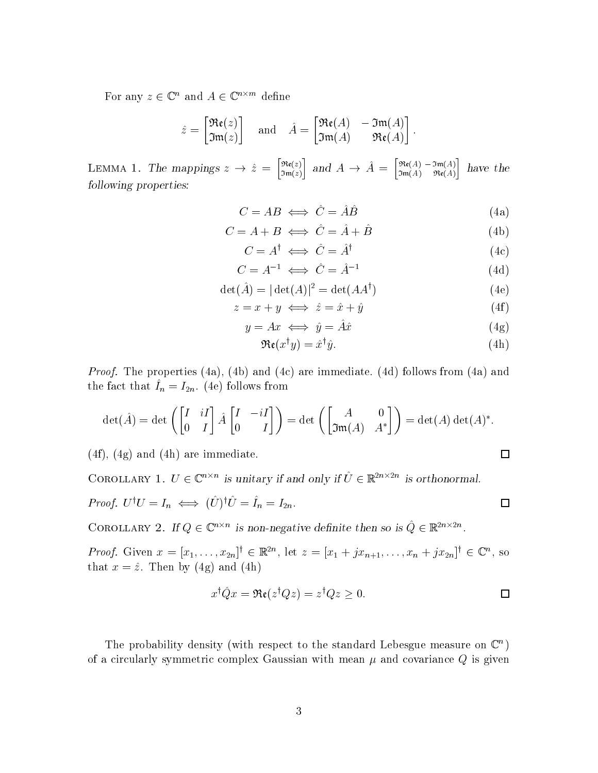For any  $z \in \mathbb{C}^n$  and  $A \in \mathbb{C}^{n \times m}$  define

$$
\hat{z} = \begin{bmatrix} \mathfrak{Re}(z) \\ \mathfrak{Im}(z) \end{bmatrix} \quad \text{and} \quad \hat{A} = \begin{bmatrix} \mathfrak{Re}(A) & -\mathfrak{Im}(A) \\ \mathfrak{Im}(A) & \mathfrak{Re}(A) \end{bmatrix}.
$$

LEMMA 1. The mappings  $z \to \hat{z} = \begin{bmatrix} \Re(\zeta) \\ \Im(\zeta) \end{bmatrix}$  and Imzin the contract of the contract of the contract of the contract of the contract of the contract of the contract of the contract of the contract of the contract of the contract of the contract of the contract of the contrac and  $A \rightarrow \hat{A} = \begin{bmatrix} \Re(A) & -\Im(\hat{A}) \\ \Im(\hat{A}) & \Re(\hat{A}) \end{bmatrix}$  has ImA- ReAin the contract of the contract of the contract of the contract of the contract of the contract of the contract of the contract of the contract of the contract of the contract of the contract of the contract of the contrac following properties

$$
C = AB \iff \hat{C} = \hat{A}\hat{B}
$$
 (4a)

$$
C = A + B \iff \hat{C} = \hat{A} + \hat{B} \tag{4b}
$$

 $C = A^{\dagger} \iff \hat{C} = \hat{A}^{\dagger}$  $(4c)$ 

$$
C = A^{-1} \iff \hat{C} = \hat{A}^{-1} \tag{4d}
$$

$$
\det(\hat{A}) = |\det(A)|^2 = \det(AA^{\dagger})\tag{4e}
$$

$$
z = x + y \iff \hat{z} = \hat{x} + \hat{y} \tag{4f}
$$

$$
y = Ax \iff \hat{y} = \hat{A}\hat{x} \tag{4g}
$$

$$
\mathfrak{Re}(x^{\dagger}y) = \hat{x}^{\dagger}\hat{y}.\tag{4h}
$$

*Proof.* The properties (4a), (4b) and (4c) are immediate. (4d) follows from (4a) and the fact that  $I_n = I_{2n}$ . (He) follows from

$$
\det(\hat{A}) = \det\left(\begin{bmatrix} I & iI \\ 0 & I \end{bmatrix} \hat{A} \begin{bmatrix} I & -iI \\ 0 & I \end{bmatrix}\right) = \det\left(\begin{bmatrix} A & 0 \\ \mathfrak{Im}(A) & A^* \end{bmatrix}\right) = \det(A) \det(A)^*.
$$

 $(4f)$ ,  $(4g)$  and  $(4h)$  are immediate.

COROLLARY 1.  $U \in \mathbb{C}^{n \times n}$  is unitary if and only if  $U \in \mathbb{R}^{2n \times 2n}$  is orthonormal.

*Proof.* 
$$
U^{\dagger}U = I_n \iff (\hat{U})^{\dagger}\hat{U} = \hat{I}_n = I_{2n}.
$$

COROLLARY 2. If  $Q \in \mathbb{C}^{n \times n}$  is non-negative definite then so is  $Q \in \mathbb{R}^{2n \times 2n}$ .

*Proof.* Given  $x = [x_1, \ldots, x_{2n}]^{\dagger} \in \mathbb{R}^{2n}$ , let  $z = [x_1 + jx_{n+1}, \ldots, x_n + jx_{2n}]^{\dagger} \in \mathbb{C}^n$ , so  $\mathbf{1}$  and  $\mathbf{1}$  and  $\mathbf{1}$  and  $\mathbf{1}$  and  $\mathbf{1}$ 

$$
x^{\dagger} \hat{Q} x = \Re(z^{\dagger} Q z) = z^{\dagger} Q z \ge 0.
$$

The probability density (with respect to the standard Lebesgue measure on  $\mathbb{C}^n$ ) of a circularly symmetric complex Gaussian with mean  $\mu$  and covariance  $Q$  is given

 $\Box$ 

 $\Box$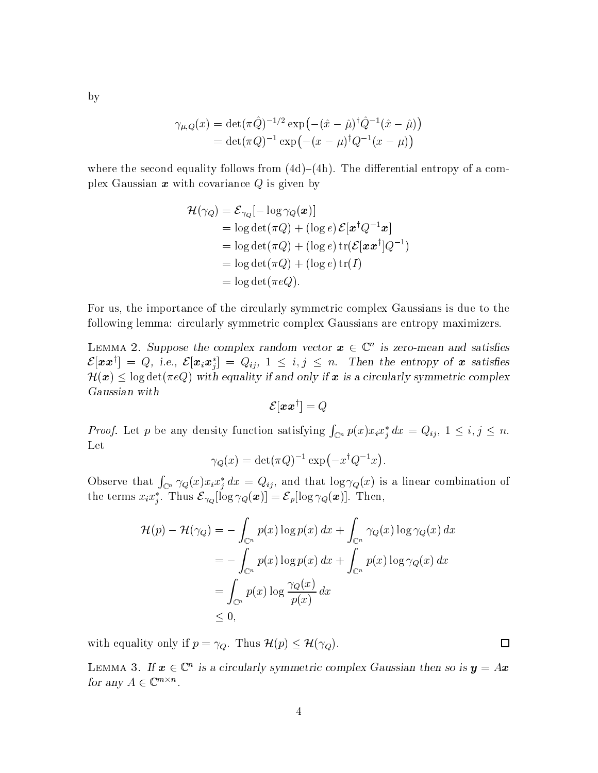$\gamma_{\mu,Q}(x) = \det(\pi \hat{Q})^{-1/2} \exp(-(\hat{x} - \hat{\mu})^{\dagger} \hat{Q}^{-1}(\hat{x} - \hat{\mu}))$  $= det(\pi Q)^{-1} exp(-(x-\mu)^{\dagger}Q^{-1}(x-\mu))$ 

where the second equality follows from  $(4d)$ – $(4h)$ . The differential entropy of a complex Gaussian  $x$  with covariance  $Q$  is given by

$$
\mathcal{H}(\gamma_Q) = \mathcal{E}_{\gamma_Q}[-\log \gamma_Q(\boldsymbol{x})]
$$
  
= log det( $\pi Q$ ) + (log *e*)  $\mathcal{E}[\boldsymbol{x}^\dagger Q^{-1}\boldsymbol{x}]$   
= log det( $\pi Q$ ) + (log *e*) tr( $\mathcal{E}[\boldsymbol{x}\boldsymbol{x}^\dagger]Q^{-1}$ )  
= log det( $\pi Q$ ) + (log *e*) tr(*I*)  
= log det( $\pi eQ$ ).

For us the importance of the circularly symmetric complex Gaussians is due to the following lemma circularly symmetric complex Gaussians are entropy maximizers

LEMMA 2. Suppose the complex random vector  $x \in \mathbb{C}^n$  is zero-mean and satisfies  $\mathcal{E}[\bm{x} \bm{x}^\dagger] = Q$ , i.e.,  $\mathcal{E}[\bm{x}_i \bm{x}_j^*] = Q_{ij}, \ 1 \leq i,j \leq n$ . Then the entropy of  $\bm{x}$  satisfies  $\mathcal{H}(\bm{x}) \leq \log \det(\pi eQ)$  with equality if and only if  $\bm{x}$  is a circularly symmetric complex

$$
\mathcal{E}[\boldsymbol{x}\boldsymbol{x}^\dagger] = Q
$$

*Proof.* Let p be any density function satisfying  $\int_{\mathbb{C}^n} p(x) x_i x_j^* dx = Q_{ij}$ ,  $1 \le i, j \le n$ . Let

$$
\gamma_Q(x) = \det(\pi Q)^{-1} \exp(-x^{\dagger} Q^{-1} x).
$$

Observe that  $\int_{\mathbb{C}^n} \gamma_Q(x) x_i x_i^* dx = Q_{ij}$ , and that  $\log \gamma_Q(x)$  is a linear combination of the terms  $x_i x_j^*$ . Thus  $\mathcal{E}_{\gamma_Q}[\log \gamma_Q(\boldsymbol{x})] = \mathcal{E}_p[\log \gamma_Q(\boldsymbol{x})]$ . Then,

$$
\mathcal{H}(p) - \mathcal{H}(\gamma_Q) = -\int_{\mathbb{C}^n} p(x) \log p(x) dx + \int_{\mathbb{C}^n} \gamma_Q(x) \log \gamma_Q(x) dx
$$
  
= 
$$
-\int_{\mathbb{C}^n} p(x) \log p(x) dx + \int_{\mathbb{C}^n} p(x) \log \gamma_Q(x) dx
$$
  
= 
$$
\int_{\mathbb{C}^n} p(x) \log \frac{\gamma_Q(x)}{p(x)} dx
$$
  
\$\leq 0\$,

with equality only if  $p = \gamma_Q$ . Thus  $\mathcal{H}(p) \leq \mathcal{H}(\gamma_Q)$ .

LEMMA 3. If  $\bm{x} \in \mathbb{C}^n$  is a circularly symmetric complex Gaussian then so is  $\bm{y} = A\bm{x}$ for any  $A \in \mathbb{C}^{m \times n}$ .

 $\overline{4}$ 

by

 $\Box$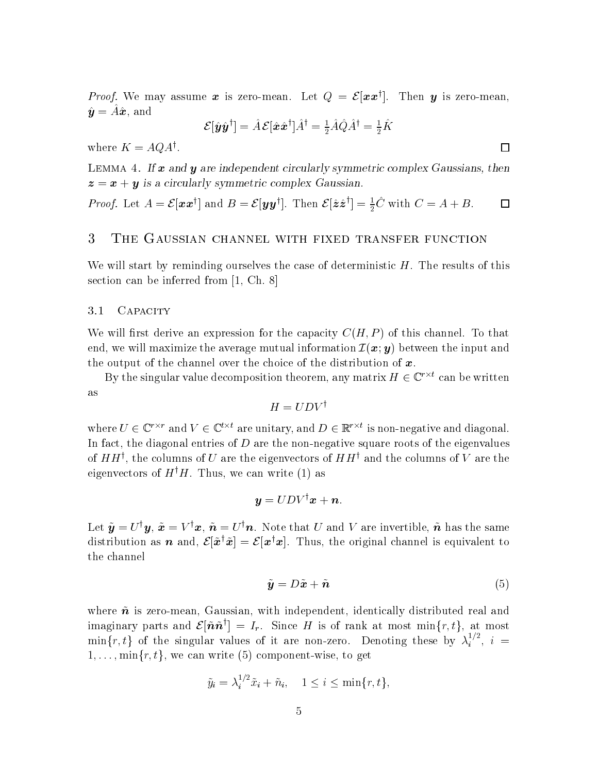*Proof.* We may assume x is zero-mean. Let  $Q = \mathcal{E}[\mathbf{x} \mathbf{x}^\dagger]$ . Then y is zero-mean,  $y = Au$ , and

$$
\mathcal{E}[\hat{\bm{y}}\hat{\bm{y}}^\dagger]=\hat{A}\,\mathcal{E}[\hat{\bm{x}}\hat{\bm{x}}^\dagger]\hat{A}^\dagger=\tfrac{1}{2}\hat{A}\hat{Q}\hat{A}^\dagger=\tfrac{1}{2}\hat{K}
$$

where  $\Lambda = A \mathcal{Q} A$ .

LEMMA 4. If  $x$  and  $y$  are independent circularly symmetric complex Gaussians, then  $z = x + y$  is a circularly symmetric complex Gaussian.

*Proof.* Let  $A = \mathcal{E}[\boldsymbol{x}\boldsymbol{x}^\dagger]$  and  $B = \mathcal{E}[\boldsymbol{y}\boldsymbol{y}^\dagger]$ . Then  $\mathcal{E}[\hat{\boldsymbol{z}}\hat{\boldsymbol{z}}^\dagger] = \frac{1}{2}C$  with  $C = A + B$ .

#### 3 THE GAUSSIAN CHANNEL WITH FIXED TRANSFER FUNCTION

We will start by reminding ourselves the case of deterministic  $H$ . The results of this section can be inferred from  $[1, Ch. 8]$ 

#### 3.1 CAPACITY

We will rst derive an expression for the capacity CH- P of this channel To that end, we will maximize the average mutual information  $\mathcal{I}(\bm{x}; \bm{y})$  between the input and the output of the channel over the choice of the distribution of  $x$ .

By the singular value decomposition theorem, any matrix  $H \in \mathbb{C}^{\prime \wedge \iota}$  can be written as

$$
H = UDV^{\dagger}
$$

where  $U \in \mathbb{C}'$  and  $V \in \mathbb{C}^{\kappa}$  are unitary, and  $D \in \mathbb{R}'$  is non-negative and diagonal. In fact, the diagonal entries of  $D$  are the non-negative square roots of the eigenvalues of  $H$  H<sub>s</sub>, the columns of U are the eigenvectors of  $H$   $H^+$  and the columns of V are the eigenvectors of  $H^{\dagger}H$ . Thus, we can write (1) as

$$
\boldsymbol{y} = U D V^\dagger \boldsymbol{x} + \boldsymbol{n}.
$$

Let  $y = U^*y$ ,  $x = V^*x$ ,  $n = U^*n$ . Note that  $U$  and  $V$  are invertible,  $n$  has the same distribution as **n** and,  $\mathcal{E}[\tilde{x}^{\dagger}\tilde{x}] = \mathcal{E}[x^{\dagger}x]$ . Thus, the original channel is equivalent to the channel

$$
\tilde{\mathbf{y}} = D\tilde{\mathbf{x}} + \tilde{\mathbf{n}} \tag{5}
$$

where  $\tilde{n}$  is zero-mean, Gaussian, with independent, identically distributed real and imaginary parts and  $\mathcal{E}[\tilde{\bm{n}}\tilde{\bm{n}}^{\dagger}]=I_r.$  Since H is of rank at most  $\min\{r,t\},$  at most  $\min\{r,t\}$  of the singular values of it are non-zero. Denoting these by  $\lambda_i^{1/2}$ ,  $i = 1$  $1, \ldots, \min\{r, t\},$  we can write (5) component-wise, to get

$$
\tilde{y}_i = \lambda_i^{1/2} \tilde{x}_i + \tilde{n}_i, \quad 1 \le i \le \min\{r, t\},\
$$

 $\Box$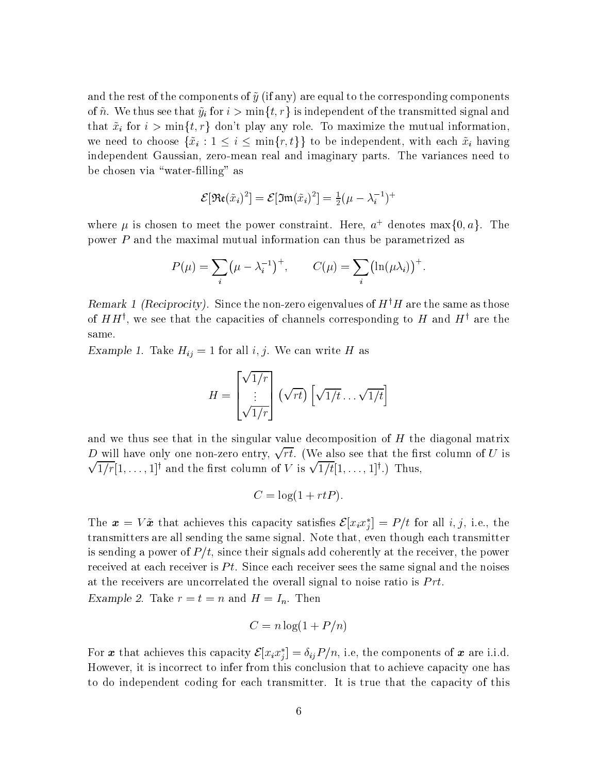and the rest of the components of  $\tilde{y}$  (if any) are equal to the corresponding components of  $\tilde{n}$ . We thus see that  $\tilde{y}_i$  for  $i > \min\{t, r\}$  is independent of the transmitted signal and that  $\tilde{x}_i$  for  $i > \min\{t, r\}$  don't play any role. To maximize the mutual information, we need to choose  $\{\tilde{x}_i : 1 \leq i \leq \min\{r, t\}\}\$  to be independent, with each  $\tilde{x}_i$  having independent Gaussian, zero-mean real and imaginary parts. The variances need to be chosen via "water-filling" as

$$
\mathcal{E}[\mathfrak{Re}(\tilde{x}_i)^2] = \mathcal{E}[\mathfrak{Im}(\tilde{x}_i)^2] = \frac{1}{2}(\mu - \lambda_i^{-1})^+
$$

where  $\mu$  is chosen to meet the power constraint. Here,  $a^+$  denotes max $\{0, a\}$ . The power P and the maximal mutual information can thus be parametrized as

$$
P(\mu) = \sum_{i} (\mu - \lambda_i^{-1})^{+}, \qquad C(\mu) = \sum_{i} (\ln(\mu \lambda_i))^{+}.
$$

Remark 1 (Reciprocity). Since the non-zero eigenvalues of  $H^+H$  are the same as those of  $H$   $H'$  , we see that the capacities of channels corresponding to  $H$  and  $H'$  are the same

 $\text{Example 1.}$  Take  $H_{ij} = 1$  for an  $\ell, j$ . We can write H as

$$
H = \begin{bmatrix} \sqrt{1/r} \\ \vdots \\ \sqrt{1/r} \end{bmatrix} (\sqrt{rt}) \left[ \sqrt{1/t} \dots \sqrt{1/t} \right]
$$

and we thus see that in the singular value decomposition of  $H$  the diagonal matrix D will have only one non-zero entry,  $\sqrt{rt}$ . (We also see that the first column of U is  $\sqrt{1/r}$ [1,...,1]<sup>†</sup> and the first column of V is  $\sqrt{1/t}$ [1,...,1]<sup>†</sup>.) Thus,

$$
C = \log(1 + rtP).
$$

The  $\bm{x} = V\tilde{\bm{x}}$  that achieves this capacity satisfies  $\mathcal{E}[x_ix_j^*] = P/t$  for all i, j, i.e., the transmitters are all sending the same signal. Note that, even though each transmitter is sending a power of  $P/t$ , since their signals add coherently at the receiver, the power received at each receiver is  $Pt$ . Since each receiver sees the same signal and the noises at the receivers are uncorrelated the overall signal to noise ratio is  $Prt$ .

Example 2. Lake  $t = t - n$  and  $H = T_n$ . Then

$$
C = n \log(1 + P/n)
$$

For  $\bm{x}$  that achieves this capacity  $\mathcal{E}[x_ix_j^*]=\delta_{ij}P/n,$  i.e, the components of  $\bm{x}$  are i.i.d. However, it is incorrect to infer from this conclusion that to achieve capacity one has to do independent coding for each transmitter. It is true that the capacity of this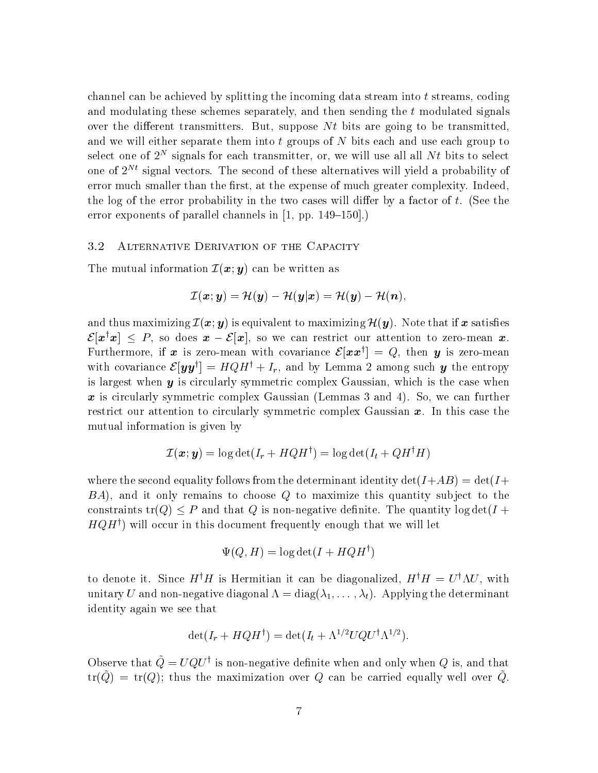channel can be achieved by splitting the incoming data stream into  $t$  streams, coding and modulating these schemes separately, and then sending the t modulated signals over the different transmitters. But, suppose  $Nt$  bits are going to be transmitted, and we will either separate them into t groups of N bits each and use each group to select one of  $\mathcal Z$  -signals for each transmitter, or, we will use all all  $N\ell$  bits to select  $\mathcal Z$ one of  $2^{Nt}$  signal vectors. The second of these alternatives will yield a probability of error much smaller than the first, at the expense of much greater complexity. Indeed, the log of the error probability in the two cases will differ by a factor of  $t$ . (See the error exponents of parallel channels in let  $p$  p and  $\sim$   $p$ 

#### 3.2 Alternative Derivation of the Capacity

The mutual information  $\mathcal{I}({\bm{x}}; {\bm{y}})$  can be written as

$$
\mathcal{I}(\boldsymbol{x};\boldsymbol{y})=\mathcal{H}(\boldsymbol{y})-\mathcal{H}(\boldsymbol{y}|\boldsymbol{x})=\mathcal{H}(\boldsymbol{y})-\mathcal{H}(\boldsymbol{n}),
$$

and thus maximizing  $\mathcal{I}(\bm{x}; \bm{y})$  is equivalent to maximizing  $\mathcal{H}(\bm{y})$ . Note that if x satisfies  $\mathcal{E}[\bm{x}^{\dagger}\bm{x}] \leq P$ , so does  $\bm{x} - \mathcal{E}[\bm{x}]$ , so we can restrict our attention to zero-mean  $\bm{x}$ . Furthermore, if x is zero-mean with covariance  $\mathcal{E}[xx^{\dagger}] = Q$ , then y is zero-mean with covariance  $\mathcal{E}[\mathbf{y}\mathbf{y}^\dagger] = HQH^\dagger + I_r$ , and by Lemma 2 among such y the entropy is largest when  $y$  is circularly symmetric complex Gaussian, which is the case when  $x$  is circularly symmetric complex Gaussian Lemmas and  $\alpha$  we can further  $\alpha$ restrict our attention to circularly symmetric complex Gaussian  $x$ . In this case the mutual information is given by

$$
\mathcal{I}(\boldsymbol{x};\boldsymbol{y}) = \log \det (I_r + HQH^\dagger) = \log \det (I_t + QH^\dagger H)
$$

where the second equality follows from the determinant identity details are provided to the details of the det  $BA$ , and it only remains to choose Q to maximize this quantity subject to the constraints tr(Q)  $\leq P$  and that Q is non-negative definite. The quantity log det(I +  $HQH^{\dagger}$ ) will occur in this document frequently enough that we will let

$$
\Psi(Q, H) = \log \det(I + HQH^{\dagger})
$$

to denote it. Since  $H^*H$  is Hermitian it can be diagonalized,  $H^*H = U^* \Lambda U$ , with unitary U and Nonnegative diagonal diagonal diagonal diagonal diagonal diagonal diagonal diagonal diagonal dia<br>Tanàna amin'ny faritan'i Mandales-Albert dia 40 metatra. Ny faritr'i Norma dia 40 metatra. Ny faritr'i Norma d identity again we see that

$$
\det(I_r + HQH^{\dagger}) = \det(I_t + \Lambda^{1/2} UQU^{\dagger} \Lambda^{1/2}).
$$

Observe that  $Q = UQU^{\dagger}$  is non-negative definite when and only when Q is, and that  $\mathfrak{m}(\mathcal{Q}) = \mathfrak{m}(\mathcal{Q})$ , thus the maximization over  $\mathcal{Q}$  can be carried equally well over  $\mathcal{Q}$ .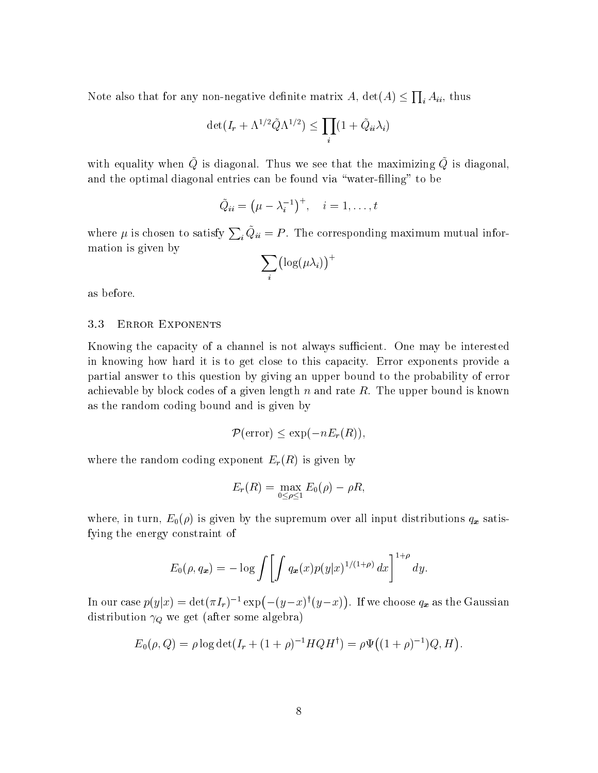Note also that for any non-negative definite matrix  $A,$   $\det(A) \leq \prod_i A_{ii},$  thus

$$
\det(I_r + \Lambda^{1/2} \tilde{Q} \Lambda^{1/2}) \le \prod_i (1 + \tilde{Q}_{ii} \lambda_i)
$$

with equality when  $\varphi$  is diagonal. Thus we see that the maximizing  $\varphi$  is diagonal, and the optimal diagonal entries can be found via "water-filling" to be

$$
\tilde{Q}_{ii} = \left(\mu - \lambda_i^{-1}\right)^+, \quad i = 1, \ldots, t
$$

where  $\mu$  is chosen to satisfy  $\sum_i Q_{ii} = P$ . The corresponding maximum mutual information is given by

$$
\sum_i \bigl(\log(\mu\lambda_i)\bigr)^+
$$

as before

#### 3.3 ERROR EXPONENTS

Knowing the capacity of a channel is not always sufficient. One may be interested in knowing how hard it is to get close to this capacity Error exponents provide a partial answer to this question by giving an upper bound to the probability of error achievable by block codes of a given length n and rate R. The upper bound is known as the random coding bound and is given by

$$
\mathcal{P}(\text{error}) \le \exp(-nE_r(R)),
$$

where the random coding exponent  $E_r(R)$  is given by

$$
E_r(R) = \max_{0 \leq \rho \leq 1} E_0(\rho) - \rho R,
$$

where, in turn,  $E_0(\rho)$  is given by the supremum over all input distributions  $q_x$  satisfying the energy constraint of

$$
E_0(\rho,q_x) = -\log \int \left[ \int q_x(x) p(y|x)^{1/(1+\rho)} dx \right]^{1+\rho} dy.
$$

In our case  $p(y|x) = \det(\pi I_r)^{-1} \exp(-(y-x)^{\dagger}(y-x))$ . If we choose  $q_x$  as the Gaussian distribution  $\gamma_Q$  we get (after some algebra)

$$
E_0(\rho, Q) = \rho \log \det(I_r + (1 + \rho)^{-1} H Q H^{\dagger}) = \rho \Psi((1 + \rho)^{-1}) Q, H).
$$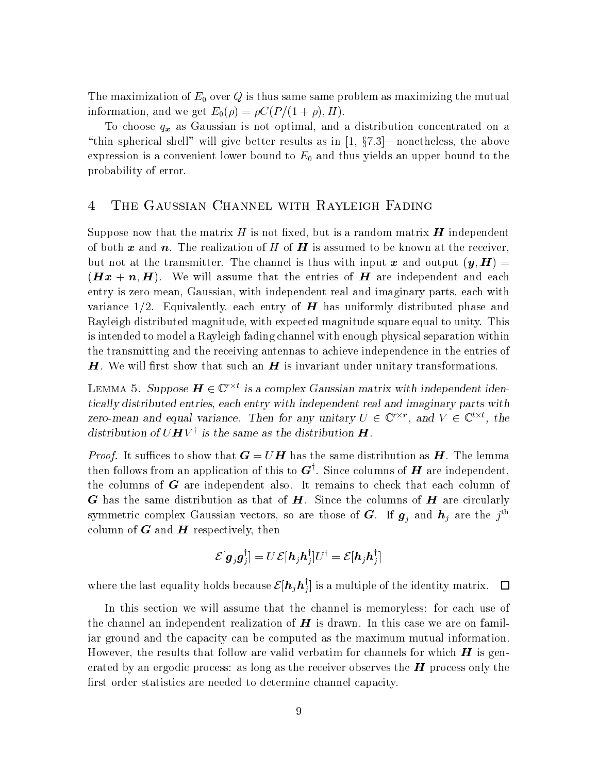The maximization of  $E_0$  over  $Q$  is thus same same problem as maximizing the mutual information and we get E - CP - H

To choose  $q_x$  as Gaussian is not optimal, and a distribution concentrated on a "thin spherical shell" will give better results as in  $\left[1, \frac{6}{5}\right]$  -nonetheless, the above expression is a convenient lower bound to  $E_0$  and thus yields an upper bound to the probability of error

Suppose now that the matrix H is not fixed, but is a random matrix  $H$  independent of both x and n. The realization of H of H is assumed to be known at the receiver, but at the the transmitter The channel is the channel is the channel is the channel output y-channel is the most is a distinct that the entries of H are independent assume that the entries of H are independent and each contr entry is zero-mean, Gaussian, with independent real and imaginary parts, each with variance  $1/2$ . Equivalently, each entry of **H** has uniformly distributed phase and Rayleigh distributed magnitude, with expected magnitude square equal to unity. This is intended to model a Rayleigh fading channel with enough physical separation within the transmitting and the receiving antennas to achieve independence in the entries of  $H$ . We will first show that such an  $H$  is invariant under unitary transformations.

LEMMA 5. Suppose  $\boldsymbol{H} \in \mathbb{C}^{n}$  is a complex Gaussian matrix with independent identically distributed entries, each entry with independent real and imaginary parts with zero-mean and equal variance. Then for any unitary  $U \in \mathbb{C}^{\prime}$ , and  $V \in \mathbb{C}^{\prime}$ , the distribution of  $\cup$  **H**  $\vee$  's the same as the distribution **H** .

Proof It su ces to show that <sup>G</sup> - U<sup>H</sup> has the same distribution as H The lemma then follows from an application of this to  $\boldsymbol{G}$ '. Since columns of  $\boldsymbol{H}$  are independent, the columns of  $G$  are independent also. It remains to check that each column of G has the same distribution as that of H Since the columns of <sup>H</sup> are circularly symmetric complex Gaussian vectors, so are those of G. If  $\bm{g}_j$  and  $\bm{n}_j$  are the  $j$ column of  $G$  and  $H$  respectively, then

$$
\mathcal{E}[\bm{g}_j \bm{g}_j^\dagger] = U\, \mathcal{E}[\bm{h}_j \bm{h}_j^\dagger] U^\dagger = \mathcal{E}[\bm{h}_j \bm{h}_j^\dagger]
$$

where the last equality holds because  $\mathcal{E}[\bm{h}_j\bm{h}_j^{\dagger}]$  is a multiple of the identity matrix.  $\quad \Box$ 

In this section we will assume that the channel is memoryless: for each use of the channel an independent realization of  $H$  is drawn. In this case we are on familiar ground and the capacity can be computed asthe maximum mutual information However, the results that follow are valid verbatim for channels for which  $H$  is generated by an ergodic process: as long as the receiver observes the  $H$  process only the first order statistics are needed to determine channel capacity.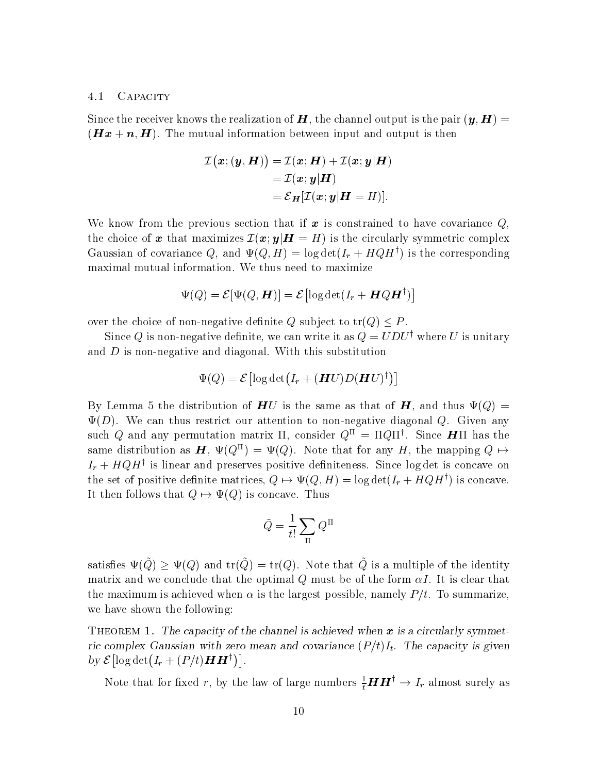## 4.1 CAPACITY

Since the recent of mile the realization of H the channel output is the pair y-the pair to the pair  $\mathcal{L}$  $\mathbf{H} = \mathbf{w} \cdot \mathbf{u}$  is the mutual between  $\mathbf{H} = \mathbf{H} \cdot \mathbf{u}$  and  $\mathbf{H} = \mathbf{H} \cdot \mathbf{u}$  is the set of  $\mathbf{H} = \mathbf{H} \cdot \mathbf{u}$ 

$$
\mathcal{I} \big( \boldsymbol{x}; (\boldsymbol{y}, \boldsymbol{H}) \big) = \mathcal{I} (\boldsymbol{x}; \boldsymbol{H}) + \mathcal{I} (\boldsymbol{x}; \boldsymbol{y} | \boldsymbol{H}) \\ = \mathcal{I} (\boldsymbol{x}; \boldsymbol{y} | \boldsymbol{H}) \\ = \mathcal{E}_{\boldsymbol{H}} [\mathcal{I} (\boldsymbol{x}; \boldsymbol{y} | \boldsymbol{H} = \boldsymbol{H})].
$$

We know from the previous section that if  $\boldsymbol{x}$  is constrained to have covariance  $Q$ , the choice of  $\bm{x}$  that maximizes  $\mathcal{I}(\bm{x};\bm{y}|\bm{H}=H)$  is the circularly symmetric complex Gaussian of covariance  $Q$ , and  $\Psi(Q, H) = \log \det(I_T + HQH^+)$  is the corresponding maximal mutual information We thus need to maximize

$$
\Psi(Q) = \mathcal{E}[\Psi(Q,\bm{H})] = \mathcal{E}\bigl[\log\det(I_r + \bm{H}Q\bm{H}^\dagger)\bigr]
$$

over the choice of non-negative definite Q subject to  $tr(Q) \leq P$ .

Since  $\mathcal Q$  is non-negative dennite, we can write it as  $\mathcal Q = U D U^*$  where U is unitary and  $D$  is non-negative and diagonal. With this substitution

$$
\Psi(Q) = \mathcal{E} \left[ \log \det \bigl ( I_r + (\boldsymbol{H} U) D (\boldsymbol{H} U)^\dagger \bigr ) \right]
$$

By Lemma 5 the distribution of  $HU$  is the same as that of  $H$ , and thus  $\Psi(Q)$  =  $\Psi(D)$ . We can thus restrict our attention to non-negative diagonal Q. Given any such  $\varphi$  and any permutation matrix if, consider  $\varphi^{\bot} = 11 \varphi 11^{\top}$ . Since  $\bm{\pi}$ if has the same distribution as  $H$ ,  $\Psi(Q^{\mu}) = \Psi(Q)$ . Note that for any H, the mapping  $Q \mapsto$  $I_r + HQH$  is linear and preserves positive definiteness. Since log det is concave on the set of positive definite matrices,  $Q \mapsto \Psi(Q, H) = \log \det(I_r + HQH^+)$  is concave. It then follows that  $Q \mapsto \Psi(Q)$  is concave. Thus

$$
\tilde{Q} = \frac{1}{t!} \sum_{\Pi} Q^{\Pi}
$$

satisfies  $\Psi(Q) \ge \Psi(Q)$  and  $tr(Q) = tr(Q)$ . Note that Q is a multiple of the identity matrix and we conclude that the optimal  $\mathcal{A}_i$  must be of the form  $\mathcal{A}_i$  and  $\mathcal{A}_i$ the maximum is achieved when is the largest possible namely Pt To summarize we have shown the following

THEOREM 1. The capacity of the channel is achieved when  $x$  is a circularly symmetric complex Gaussian with zero-mean and covariance PtIt The capacity is given by  $\mathcal{E}[\log \det(I_r + (P/t)HH^{\dagger})].$ 

Note that for fixed r, by the law of large numbers  $\frac{1}{t}H H^{\perp} \to I_r$  almost surely as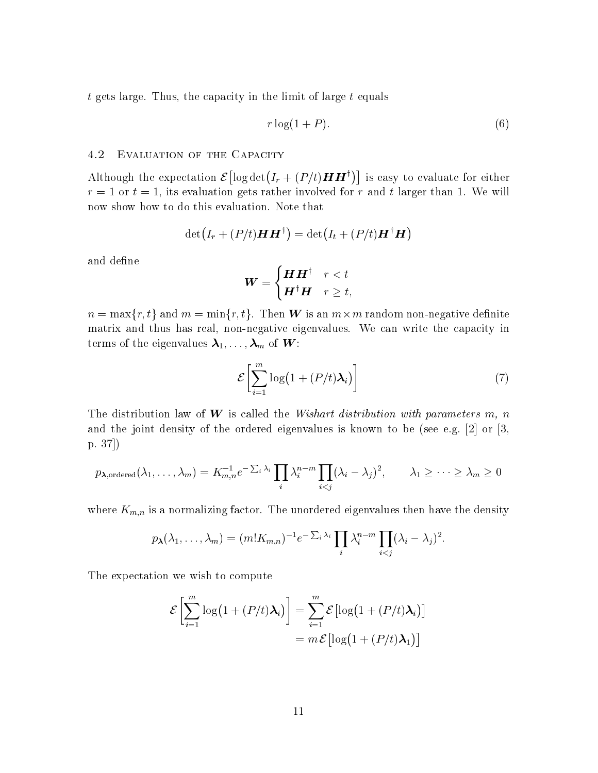$t$  gets large. Thus, the capacity in the limit of large  $t$  equals

$$
r \log(1+P). \tag{6}
$$

#### 4.2 Evaluation of the Capacity

Although the expectation  $\mathcal{E}[\log \det(I_r + (P/t)HH^{\dagger})]$  is easy to evaluate for either r - or t - its evaluation gets rather involved for r and t larger than We will now show how to do this evaluation Note that

$$
\det\bigl(I_r+(P/t)\bm{H}\bm{H}^\dagger\bigr)=\det\bigl(I_t+(P/t)\bm{H}^\dagger\bm{H}\bigr)
$$

and define

$$
\boldsymbol{W} = \begin{cases} \boldsymbol{H}\boldsymbol{H}^{\dagger} & r < t \\ \boldsymbol{H}^{\dagger}\boldsymbol{H} & r \geq t, \end{cases}
$$

 $n = \max\{r,t\}$  and  $m = \min\{r,t\}.$  Then  $\boldsymbol{W}$  is an  $m \times m$  random non-negative definite matrix and thus has real, non-negative eigenvalues. We can write the capacity in  $\mathbf{r}$  of the eigenvalues  $\mathbf{r}$  is the eigenvalues of  $\mathbf{r}$ 

$$
\mathcal{E}\bigg[\sum_{i=1}^{m}\log\big(1+(P/t)\lambda_i\big)\bigg]
$$
\n(7)

The distribution law of W is called the Wishart distribution with parameters m, n and the joint density of the ordered eigenvalues is the order or  $\mathcal{A}^{(n)}$  and  $\mathcal{A}^{(n)}$ p

$$
p_{\boldsymbol{\lambda}, \text{ordered}}(\lambda_1, \ldots, \lambda_m) = K_{m,n}^{-1} e^{-\sum_i \lambda_i} \prod_i \lambda_i^{n-m} \prod_{i < j} (\lambda_i - \lambda_j)^2, \qquad \lambda_1 \geq \cdots \geq \lambda_m \geq 0
$$

where  $K_{m,n}$  is a normalizing factor. The unordered eigenvalues then have the density

$$
p_{\boldsymbol{\lambda}}(\lambda_1,\ldots,\lambda_m)=(m!K_{m,n})^{-1}e^{-\sum_i\lambda_i}\prod_i\lambda_i^{n-m}\prod_{i
$$

The expectation we wish to compute

$$
\mathcal{E}\left[\sum_{i=1}^{m} \log\left(1 + (P/t)\lambda_i\right)\right] = \sum_{i=1}^{m} \mathcal{E}\left[\log\left(1 + (P/t)\lambda_i\right)\right]
$$

$$
= m \mathcal{E}\left[\log\left(1 + (P/t)\lambda_1\right)\right]
$$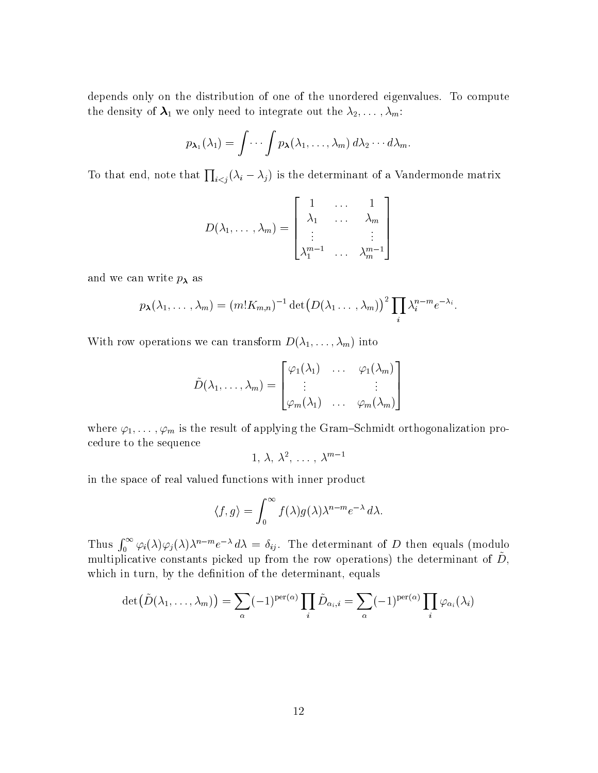depends only on the distribution of one of the unordered eigenvalues. To compute  $\sum_{i=1}^{n} \sum_{i=1}^{n} \sum_{j=1}^{n} \sum_{j=1}^{n} \sum_{j=1}^{n} \sum_{j=1}^{n} \sum_{j=1}^{n} \sum_{j=1}^{n} \sum_{j=1}^{n} \sum_{j=1}^{n} \sum_{j=1}^{n} \sum_{j=1}^{n} \sum_{j=1}^{n} \sum_{j=1}^{n} \sum_{j=1}^{n} \sum_{j=1}^{n} \sum_{j=1}^{n} \sum_{j=1}^{n} \sum_{j=1}^{n} \sum_{j=1}^{n} \sum_{j=1}^{n} \sum_{j=1}^{n}$ 

$$
p_{\boldsymbol{\lambda}_1}(\lambda_1)=\int\cdots\int p_{\boldsymbol{\lambda}}(\lambda_1,\ldots,\lambda_m)\,d\lambda_2\cdots d\lambda_m.
$$

To that end, note that  $\prod_{i \leq j} (\lambda_i - \lambda_j)$  is the determinant of a Vandermonde matrix

$$
D(\lambda_1, \ldots, \lambda_m) = \begin{bmatrix} 1 & \ldots & 1 \\ \lambda_1 & \ldots & \lambda_m \\ \vdots & \ddots & \vdots \\ \lambda_1^{m-1} & \ldots & \lambda_m^{m-1} \end{bmatrix}
$$

and we can write  $p_{\lambda}$  as

$$
p_{\boldsymbol{\lambda}}(\lambda_1,\ldots,\lambda_m)=(m!K_{m,n})^{-1}\det(D(\lambda_1\ldots,\lambda_m))^2\prod_i\lambda_i^{n-m}e^{-\lambda_i}.
$$

With row operations we can transform D--m into

$$
\tilde{D}(\lambda_1,\ldots,\lambda_m)=\begin{bmatrix}\varphi_1(\lambda_1)&\ldots&\varphi_1(\lambda_m)\\\vdots& &\vdots\\\varphi_m(\lambda_1)&\ldots&\varphi_m(\lambda_m)\end{bmatrix}
$$

 $\mathbf{r}$  is the result of applying the GramSchmidt orthogonalization problem in the GramSchmidt orthogonalization problem in the GramSchmidt orthogonalization problem in the GramSchmidt orthogonalization problem in the Gr cedure to the sequence

$$
1, \lambda, \lambda^2, \ldots, \lambda^{m-1}
$$

in the space of real valued functions with inner product

$$
\langle f, g \rangle = \int_0^\infty f(\lambda) g(\lambda) \lambda^{n-m} e^{-\lambda} d\lambda.
$$

Thus  $\int_0^\infty \varphi_i(\lambda)\varphi_j(\lambda)\lambda^{n-m}e^{-\lambda}\,d\lambda = \delta_{ij}$ . The determinant of D then equals (modulo multiplicative constants picked up from the row operations) the determinant or  $D$ , which in turn, by the definition of the determinant, equals

$$
\det\big(\tilde{D}(\lambda_1,\ldots,\lambda_m)\big)=\sum_{\alpha}(-1)^{\operatorname{per}(\alpha)}\prod_i\tilde{D}_{\alpha_i,i}=\sum_{\alpha}(-1)^{\operatorname{per}(\alpha)}\prod_i\varphi_{\alpha_i}(\lambda_i)
$$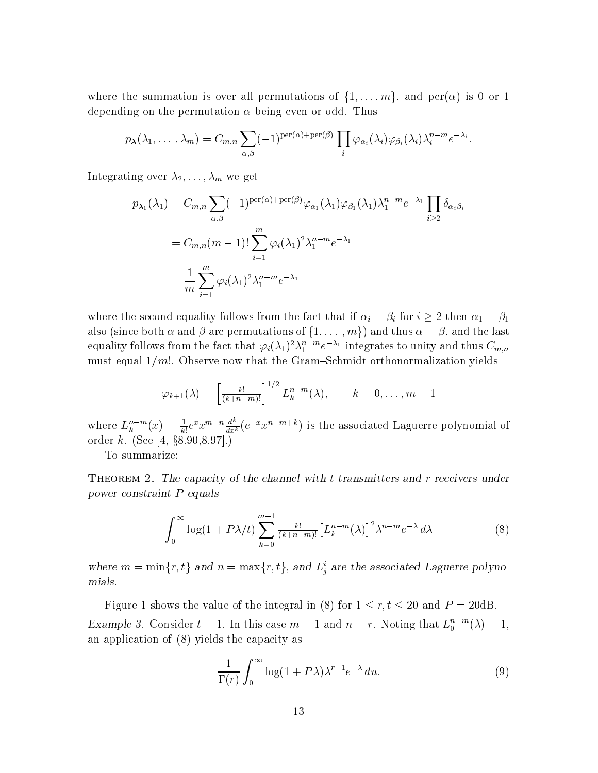where the summation is over all permutations of  $\{1,\ldots,m\},$  and  $\text{per}(\alpha)$  is 0 or 1 depending on the permutation of the permutation of  $\alpha$ 

$$
p_{\boldsymbol{\lambda}}(\lambda_1,\ldots,\lambda_m)=C_{m,n}\sum_{\alpha,\beta}(-1)^{\text{per}(\alpha)+\text{per}(\beta)}\prod_i\varphi_{\alpha_i}(\lambda_i)\varphi_{\beta_i}(\lambda_i)\lambda_i^{n-m}e^{-\lambda_i}.
$$

 $\Omega$  over  $\omega$  integrating  $\Omega$ 

$$
p_{\lambda_1}(\lambda_1) = C_{m,n} \sum_{\alpha,\beta} (-1)^{\text{per}(\alpha) + \text{per}(\beta)} \varphi_{\alpha_1}(\lambda_1) \varphi_{\beta_1}(\lambda_1) \lambda_1^{n-m} e^{-\lambda_1} \prod_{i \ge 2} \delta_{\alpha_i \beta_i}
$$
  
= 
$$
C_{m,n}(m-1)! \sum_{i=1}^m \varphi_i(\lambda_1)^2 \lambda_1^{n-m} e^{-\lambda_1}
$$
  
= 
$$
\frac{1}{m} \sum_{i=1}^m \varphi_i(\lambda_1)^2 \lambda_1^{n-m} e^{-\lambda_1}
$$

where the second equality follows from the fact that if  $\alpha_i = \beta_i$  for  $i \geq 2$  then  $\alpha_1 = \beta_1$ also (since both  $\alpha$  and  $\beta$  are permutations of  $\{1,\ldots,m\})$  and thus  $\alpha=\beta,$  and the last equality follows from the fact that  $\varphi_i(\lambda_1)^\ast\lambda_1^\ast$  incerted the fraction thus  $C_{m,n}$ must equal  $1/m!$ . Observe now that the Gram-Schmidt orthonormalization yields

$$
\varphi_{k+1}(\lambda) = \left[\frac{k!}{(k+n-m)!}\right]^{1/2} L_k^{n-m}(\lambda), \qquad k=0,\ldots,m-1
$$

where  $L_k^{n-m}(x) = \frac{1}{k!}e^x x^{m-n} \frac{d}{dx^k}(e^{-x}x^{n-m+k})$  is the associated Laguerre polynomial of order  $k$ . (See [4, §8.90,8.97].)

To summarize

 $T$  reportent  $T$ . The capacity of the channel with t transmitters and r receivers under power construction in equal the prove

$$
\int_0^\infty \log(1 + P\lambda/t) \sum_{k=0}^{m-1} \frac{k!}{(k+n-m)!} \left[L_k^{n-m}(\lambda)\right]^2 \lambda^{n-m} e^{-\lambda} d\lambda \tag{8}
$$

where  $m = \min\{r, t\}$  and  $n = \max\{r, t\}$ , and  $L_i^i$  are the associated Laguerre polynomials

Figure 1 shows the value of the integral in (8) for  $1 \le r, t \le 20$  and  $P = 20$ dB. Example 3. Consider  $t = 1$ . In this case  $m = 1$  and  $n = r$ . Noting that  $L_0^{\text{max}}(\lambda) = 1$ , an application of  $(8)$  yields the capacity as

$$
\frac{1}{\Gamma(r)} \int_0^\infty \log(1 + P\lambda) \lambda^{r-1} e^{-\lambda} du.
$$
 (9)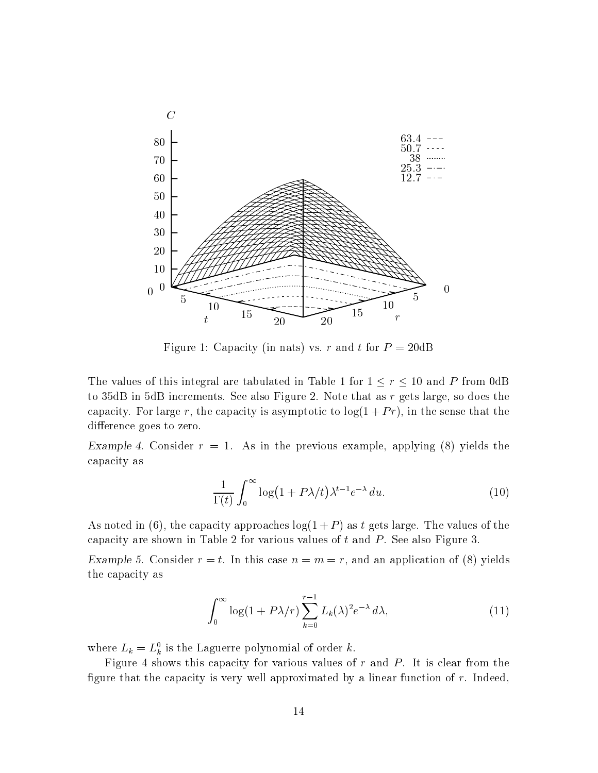

 $\mathcal{L}$  for  $\mathcal{L}$  and  $\mathcal{L}$  . The form is real to  $\mathcal{L}$  and  $\mathcal{L}$  and the P -  $\mathcal{L}$  and  $\mathcal{L}$  and  $\mathcal{L}$  and  $\mathcal{L}$  and  $\mathcal{L}$  and  $\mathcal{L}$  and  $\mathcal{L}$  and  $\mathcal{L}$  and  $\mathcal{L}$  and  $\mathcal{L}$  and

The values of this integral are tabulated in Table 1 for  $1 \le r \le 10$  and P from 0dB to 35dB in 5dB increments. See also Figure 2. Note that as  $r$  gets large, so does the capacity. For large r, the capacity is asymptotic to  $\log(1 + Pr)$ , in the sense that the difference goes to zero.

 $\text{Exampic }$  +. Consider  $r = 1$ . The in the previous example, applying (0) yields the capacity as

$$
\frac{1}{\Gamma(t)} \int_0^\infty \log\left(1 + P\lambda/t\right) \lambda^{t-1} e^{-\lambda} \, du. \tag{10}
$$

As noted in (6), the capacity approaches  $log(1+P)$  as t gets large. The values of the capacity are shown in Table 2 for various values of  $t$  and  $P$ . See also Figure 3.

 $\Delta$  ample 0. Consider  $r = v$ . In this case  $n = m - r$ , and an application of (0) yields the capacity as

$$
\int_0^\infty \log(1 + P\lambda/r) \sum_{k=0}^{r-1} L_k(\lambda)^2 e^{-\lambda} d\lambda,\tag{11}
$$

where  $L_k = L_k$  is the Laguerre polynomial of order  $k$ .

Figure 4 shows this capacity for various values of  $r$  and  $P$ . It is clear from the figure that the capacity is very well approximated by a linear function of  $r$ . Indeed,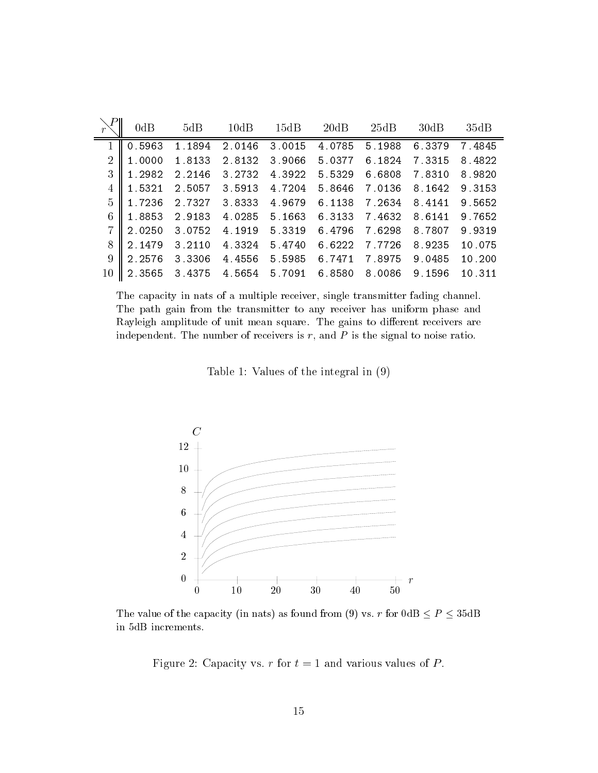|                | 0dB    | 5dB    | 10dB   | 15dB   | 20dB   | 25dB   | 30dB   | 35dB   |
|----------------|--------|--------|--------|--------|--------|--------|--------|--------|
|                | 0.5963 | 1.1894 | 2.0146 | 3.0015 | 4.0785 | 5.1988 | 6.3379 | 7.4845 |
| $\overline{2}$ | 1.0000 | 1.8133 | 2.8132 | 3.9066 | 5.0377 | 6.1824 | 7.3315 | 8.4822 |
| 3              | 1.2982 | 2.2146 | 3.2732 | 4.3922 | 5.5329 | 6.6808 | 7.8310 | 8.9820 |
| 4              | 1.5321 | 2.5057 | 3.5913 | 4.7204 | 5.8646 | 7.0136 | 8.1642 | 9.3153 |
| 5              | 1.7236 | 2.7327 | 3.8333 | 4.9679 | 6.1138 | 7.2634 | 8.4141 | 9.5652 |
| 6              | 1.8853 | 2.9183 | 4.0285 | 5.1663 | 6.3133 | 7.4632 | 8.6141 | 9.7652 |
| 7              | 2.0250 | 3.0752 | 4.1919 | 5.3319 | 6.4796 | 7.6298 | 8.7807 | 9.9319 |
| 8              | 2.1479 | 3.2110 | 4.3324 | 5.4740 | 6.6222 | 7.7726 | 8.9235 | 10.075 |
| 9              | 2.2576 | 3.3306 | 4.4556 | 5.5985 | 6.7471 | 7.8975 | 9.0485 | 10.200 |
| $10\,$         | 2.3565 | 3.4375 | 4.5654 | 5.7091 | 6.8580 | 8.0086 | 9.1596 | 10.311 |

 $\pm$ ne capacity in nats of a multiple receiver, single transmitter fauing channel. The path gain from the transmitter to any receiver has uniform phaseand Rayleigh amplitude of unit mean square The gains to dierent receivers are independent. The number of receivers is  $\iota$ , and  $\iota$  is the signal to noise ratio.

Table 1: Values of the integral in  $(9)$ 



THE VALUE OF THE CADALITY THE HATST AS TOUTHE HOLL LEFT VS. THOLL VALLET  $\leq T \leq 0.0111$ in 5dB increments.

Figure  Capacity vs r for t - and various values of P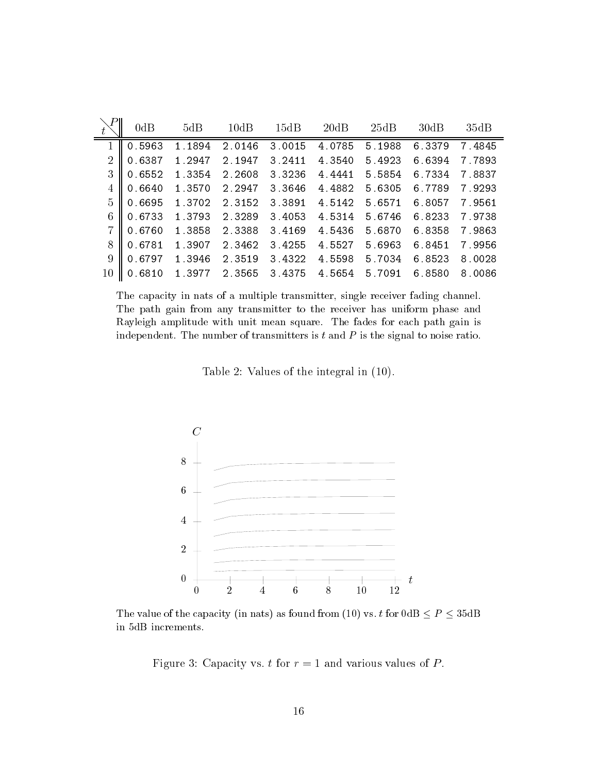|                | 0dB    | 5dB    | 10dB   | 15dB   | 20dB   | 25dB   | 30dB   | 35dB   |
|----------------|--------|--------|--------|--------|--------|--------|--------|--------|
|                | 0.5963 | 1.1894 | 2.0146 | 3.0015 | 4.0785 | 5.1988 | 6.3379 | 7.4845 |
| $\overline{2}$ | 0.6387 | 1.2947 | 2.1947 | 3.2411 | 4.3540 | 5.4923 | 6.6394 | 7.7893 |
| 3              | 0.6552 | 1.3354 | 2.2608 | 3.3236 | 4.4441 | 5.5854 | 6.7334 | 7.8837 |
| 4              | 0.6640 | 1.3570 | 2.2947 | 3.3646 | 4.4882 | 5.6305 | 6.7789 | 7.9293 |
| 5              | 0.6695 | 1.3702 | 2.3152 | 3.3891 | 4.5142 | 5.6571 | 6.8057 | 7.9561 |
| 6              | 0.6733 | 1.3793 | 2.3289 | 3.4053 | 4.5314 | 5.6746 | 6.8233 | 7.9738 |
| $\overline{7}$ | 0.6760 | 1.3858 | 2.3388 | 3.4169 | 4.5436 | 5.6870 | 6.8358 | 7.9863 |
| 8              | 0.6781 | 1.3907 | 2.3462 | 3.4255 | 4.5527 | 5.6963 | 6.8451 | 7.9956 |
| 9              | 0.6797 | 1.3946 | 2.3519 | 3.4322 | 4.5598 | 5.7034 | 6.8523 | 8.0028 |
| 10             | 0.6810 | 1.3977 | 2.3565 | 3.4375 | 4.5654 | 5.7091 | 6.8580 | 8.0086 |

The capacity in nats of <sup>a</sup> multiple transmitter- single receiver fading channel The path gain from any transmitter to the receiver has uniform phaseand rayleigh and path and with mean sources and the fades for each path gainst path gainst the fades of the fades o independent. The number of transmitters is t and P is the signal to noise ratio.

Table 2: Values of the integral in  $(10)$ .



THE VALUE OF THE CADACTLY THE HALST AS TOUTEL ITOILETIVE VS.  $b$  TOF VALLEX  $\sim$  F  $\sim$   $\sim$   $\sim$   $\sim$   $\sim$   $\sim$ in  $5\mathrm{dB}$  increments.

Figure Capacity vs t for r - and various values of P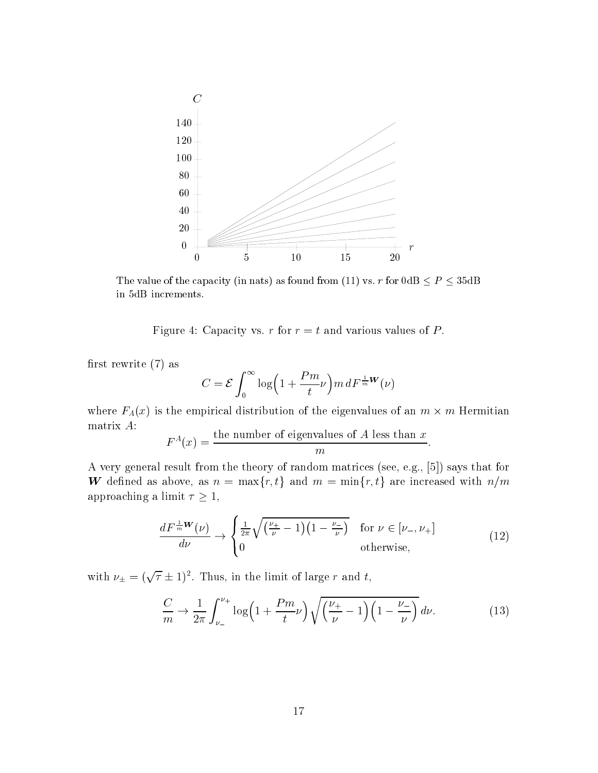

The value of the capacity the hats fastrum from the fit vs. The value  $\geq T$  ,  $\geq$  sould in 5dB increments.

Figure Capacity vs r for r - t and various values of P

first rewrite  $(7)$  as

$$
C = \mathcal{E} \int_0^\infty \log\left(1 + \frac{Pm}{t}\nu\right) m \, dF^{\frac{1}{m}W}(\nu)
$$

where  $F_A(x)$  is the empirical distribution of the eigenvalues of an  $m \times m$  Hermitian matrix A

$$
F^{A}(x) = \frac{\text{the number of eigenvalues of } A \text{ less than } x}{m}.
$$

a very general result from the theory of random matrices see the theory of  $\sigma$  is that for the form of  $\sigma$ W defined as above, as  $n = \max\{r, t\}$  and  $m = \min\{r, t\}$  are increased with  $n/m$ approaching a limit  $\tau \geq 1$ ,

$$
\frac{dF^{\frac{1}{m}W}(\nu)}{d\nu} \to \begin{cases} \frac{1}{2\pi}\sqrt{\left(\frac{\nu_{+}}{\nu}-1\right)\left(1-\frac{\nu_{-}}{\nu}\right)} & \text{for } \nu \in [\nu_{-},\nu_{+}]\\ 0 & \text{otherwise}, \end{cases}
$$
(12)

with  $\nu_{\pm} = (\sqrt{\tau} \pm 1)^2$ . Thus, in the limit of large r and t,

$$
\frac{C}{m} \to \frac{1}{2\pi} \int_{\nu_{-}}^{\nu_{+}} \log\left(1 + \frac{Pm}{t}\nu\right) \sqrt{\left(\frac{\nu_{+}}{\nu} - 1\right)\left(1 - \frac{\nu_{-}}{\nu}\right)} d\nu.
$$
 (13)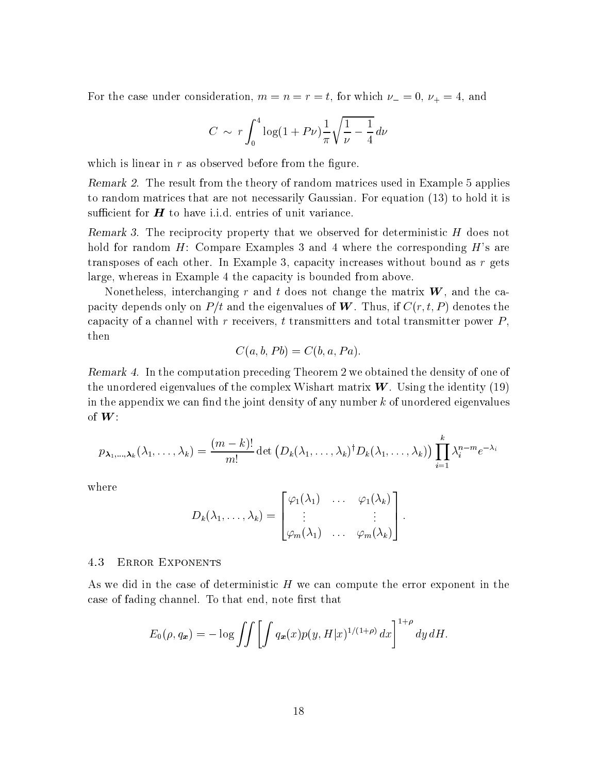For the case under consideration m - n - r - t for which - - and

$$
C \sim r \int_0^4 \log(1 + P\nu) \frac{1}{\pi} \sqrt{\frac{1}{\nu} - \frac{1}{4}} \, d\nu
$$

which is linear in  $r$  as observed before from the figure.

 $R$  remark  $Z$ . The result from the theory of random matrices used in Example  $\sigma$  applies to random matrices that are not necessarily Gaussian. For equation (13) to hold it is sufficient for  $H$  to have i.i.d. entries of unit variance.

**THE REFERENT OF THE LECT** property that we observed for deterministic  $H$  does not hold for random  $H$ : Compare Examples 3 and 4 where the corresponding  $H$ 's are transposes of each other. In Example 3, capacity increases without bound as  $r$  gets large, whereas in Example 4 the capacity is bounded from above.

Nonetheless, interchanging r and t does not change the matrix  $\boldsymbol{W}$ , and the capacity depends only on P and the eigenvalues of W Thus I Thus if C and  $\alpha$  and W Thus if  $\alpha$ capacity of a channel with r receivers, t transmitters and total transmitter power  $P$ , then

$$
C(a, b, Pb) = C(b, a, Pa).
$$

 $R$  remark  $\tau$ . Th the computation preceding Theorem 2 we obtained the density of one of the unordered eigenvalues of the complex Wishart matrix  $W$ . Using the identity (19) in the appendix we can find the joint density of any number  $k$  of unordered eigenvalues of  $W$ :

$$
p_{\boldsymbol{\lambda}_1,\ldots,\boldsymbol{\lambda}_k}(\lambda_1,\ldots,\lambda_k)=\frac{(m-k)!}{m!}\det\left(D_k(\lambda_1,\ldots,\lambda_k)^\dagger D_k(\lambda_1,\ldots,\lambda_k)\right)\prod_{i=1}^k\lambda_i^{n-m}e^{-\lambda_i}
$$

where

$$
D_k(\lambda_1,\ldots,\lambda_k)=\begin{bmatrix} \varphi_1(\lambda_1) & \ldots & \varphi_1(\lambda_k) \\ \vdots & & \vdots \\ \varphi_m(\lambda_1) & \ldots & \varphi_m(\lambda_k) \end{bmatrix}.
$$

#### Error Exponents

As we did in the case of deterministic  $H$  we can compute the error exponent in the case of fading channel. To that end, note first that

$$
E_0(\rho, q_x) = -\log \iiint \left[ \int q_x(x) p(y, H|x)^{1/(1+\rho)} dx \right]^{1+\rho} dy dH.
$$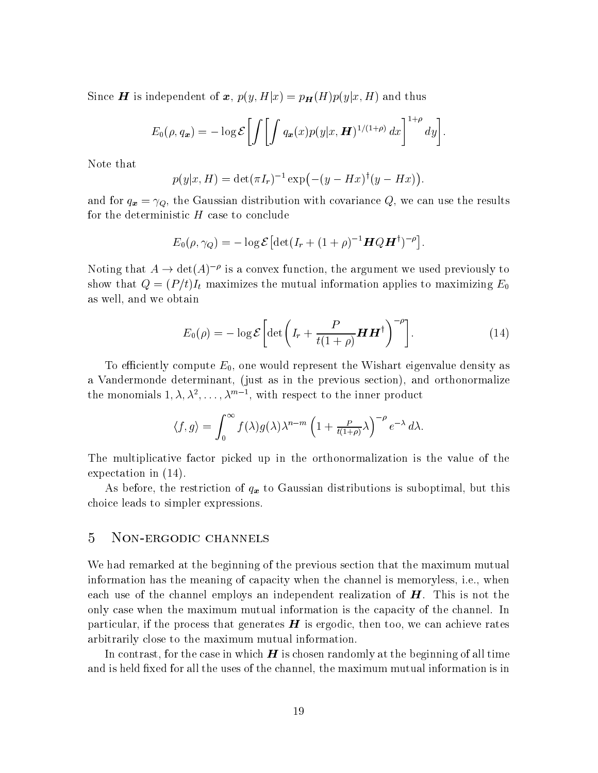Since  $\boldsymbol{H}$  is independent of  $\boldsymbol{x},\, p(y,H|x) = p_{\boldsymbol{H}}(H)p(y|x,H)$  and thus

$$
E_0(\rho, q_x) = -\log \mathcal{E}\left[\int \left[\int q_x(x)p(y|x, \boldsymbol{H})^{1/(1+\rho)} dx\right]^{1+\rho} dy\right].
$$

Note that

$$
p(y|x, H) = \det(\pi I_r)^{-1} \exp(-(y - Hx)^{\dagger}(y - Hx)).
$$

and for  $\mathcal{A}$   $\mathcal{A}$  ,  $\mathcal{A}$  the Gaussian distribution with covariance  $\mathcal{A}$  with  $\mathcal{A}$  with  $\mathcal{A}$  and  $\mathcal{A}$  and  $\mathcal{A}$  and  $\mathcal{A}$  and  $\mathcal{A}$  and  $\mathcal{A}$  and  $\mathcal{A}$  and  $\mathcal{A}$  and  $\mathcal{A}$  a for the deterministic  $H$  case to conclude

$$
E_0(\rho, \gamma_Q) = -\log \mathcal{E} \left[ \det(I_r + (1+\rho)^{-1} \mathbf{H} Q \mathbf{H}^\dagger)^{-\rho} \right].
$$

Noting that  $A \to \det(A)$  " is a convex function, the argument we used previously to show that Q - PtIt maximizes the mutual information applies to maximizing E as well, and we obtain

$$
E_0(\rho) = -\log \mathcal{E} \left[ \det \left( I_r + \frac{P}{t(1+\rho)} \mathbf{H} \mathbf{H}^\dagger \right)^{-\rho} \right]. \tag{14}
$$

To efficiently compute  $E_0$ , one would represent the Wishart eigenvalue density as a Vandermonde determinant, (just as in the previous section), and orthonormalize the monomials  $1, \lambda, \lambda^*, \ldots, \lambda^{**}$  , with respect to the inner product

$$
\langle f, g \rangle = \int_0^\infty f(\lambda) g(\lambda) \lambda^{n-m} \left( 1 + \frac{P}{t(1+\rho)} \lambda \right)^{-\rho} e^{-\lambda} d\lambda.
$$

The multiplicative factor picked up in the orthonormalization is the value of the expectation in  $(14)$ .

As before, the restriction of  $q_x$  to Gaussian distributions is suboptimal, but this choice leads to simpler expressions

#### 5 NON-ERGODIC CHANNELS

We had remarked at the beginning of the previous section that the maximum mutual information has the meaning of capacity when the channel is memoryless, i.e., when each use of the channel employs an independent realization of  $H$ . This is not the only case when the maximum mutual information is the capacity of the channel. In particular, if the process that generates  $H$  is ergodic, then too, we can achieve rates arbitrarily close to the maximum mutual information

In contrast, for the case in which  $H$  is chosen randomly at the beginning of all time and is held fixed for all the uses of the channel, the maximum mutual information is in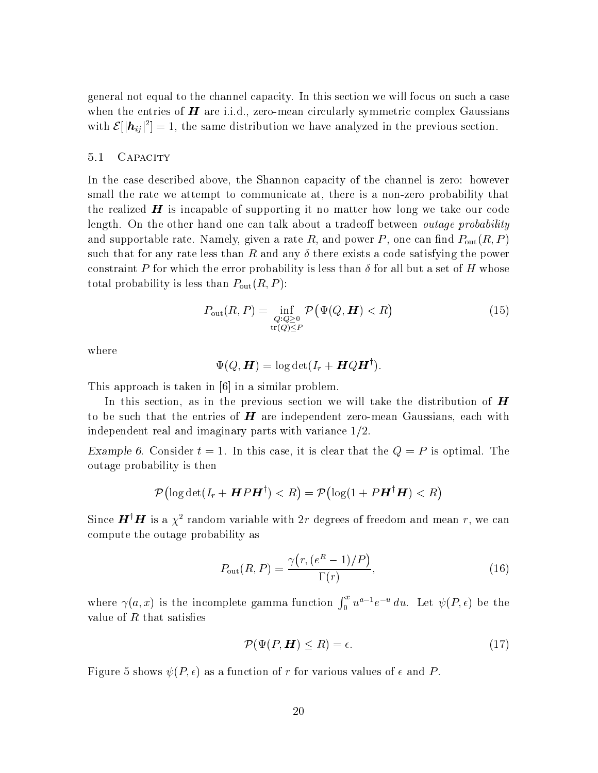general not equal to the channel capacity In this section we will focus on such a case when the entries of  $H$  are i.i.d., zero-mean circularly symmetric complex Gaussians with  $\mathcal{E}[|\boldsymbol{h}_{ij}|^2]=1$ , the same distribution we have analyzed in the previous section.

#### 5.1 CAPACITY

In the case described above, the Shannon capacity of the channel is zero: however small the rate we attempt to communicate at, there is a non-zero probability that the realized  $H$  is incapable of supporting it no matter how long we take our code length. On the other hand one can talk about a tradeoff between *outage probability* and supportable rate  $\mathcal{N} \setminus \Omega$  . The rate  $\mathcal{N}$  and  $\mathcal{N}$  and  $\mathcal{N}$  and  $\mathcal{N}$  and  $\mathcal{N}$  and  $\mathcal{N}$  and  $\mathcal{N}$  and  $\mathcal{N}$  and  $\mathcal{N}$  and  $\mathcal{N}$  and  $\mathcal{N}$  and  $\mathcal{N}$  and  $\mathcal{N}$  and  $\mathcal{N$ such that for any rate less than R and any  $\delta$  there exists a code satisfying the power constraint P for which the error probability is less than  $\delta$  for all but a set of H whose total probability is less than PoutR-PoutR-PoutR-PoutR-PoutR-PoutR-PoutR-PoutR-Pou

$$
P_{\text{out}}(R, P) = \inf_{\substack{Q: Q \ge 0 \\ \text{tr}(Q) \le P}} \mathcal{P}(\Psi(Q, \boldsymbol{H}) < R) \tag{15}
$$

where

$$
\Psi(Q,\boldsymbol{H})=\log\det(I_r+\boldsymbol{H}Q\boldsymbol{H}^\dagger).
$$

This approach is taken in a similar problem in a similar problem in a similar problem in a similar problem in a

In this section, as in the previous section we will take the distribution of  $H$ to be such that the entries of  $\bm{H}$  are independent zero-mean Gaussians, each with independent real and imaginary parts with variance  $1/2$ .

 $\Delta$  ample  $\sigma$ . Consider  $t = 1$ , in this case, it is clear that the  $Q = T$  is optimal. The outage probability is then

$$
\mathcal{P}\bigl(\log\det(I_r+ \bm{H} P \bm{H}^\dagger)
$$

Since  $\mathbf{H}^\dagger \mathbf{H}$  is a  $\chi^2$  random variable with 2r degrees of freedom and mean r, we can compute the outage probability as

$$
P_{\text{out}}(R, P) = \frac{\gamma(r, (e^R - 1)/P)}{\Gamma(r)},\tag{16}
$$

where  $\gamma(a,x)$  is the incomplete gamma function  $\int_0^x u^{a-1}e^{-u} du$ . Let  $\psi(P,\epsilon)$  be the value of  $R$  that satisfies

$$
\mathcal{P}(\Psi(P, \mathbf{H}) \le R) = \epsilon. \tag{17}
$$

Figure shows P- as a function of r for various values of and P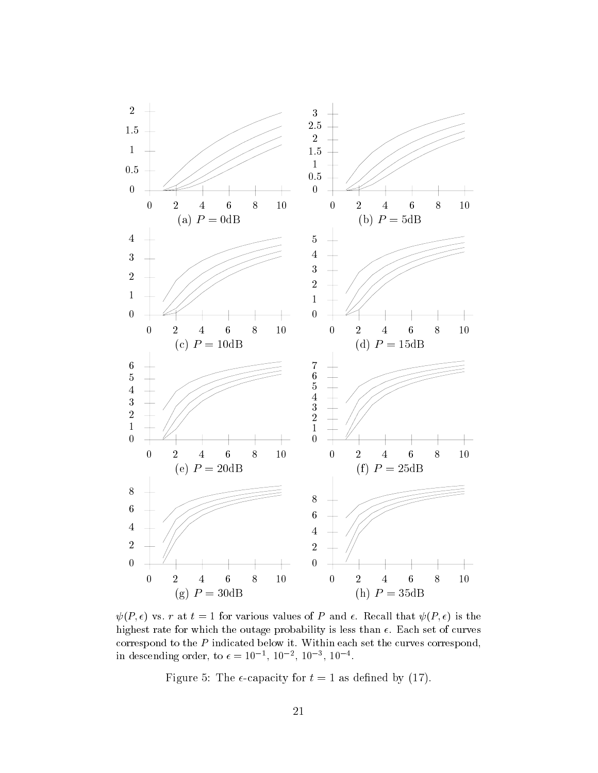

 $\psi(I, \epsilon)$  vs. Fat  $t = 1$  for various values of P and  $\epsilon$ . He call that  $\psi(I, \epsilon)$  is the highest rate for which the outage probability is less than Each set of curves correspond to the <sup>P</sup> indicated below it Within each set the curves correspond-In descending order, to  $\epsilon = 10^{-7}$ ,  $10^{-7}$ ,  $10^{-7}$ ,  $10^{-7}$ .

Figure The capacity for t - as dened by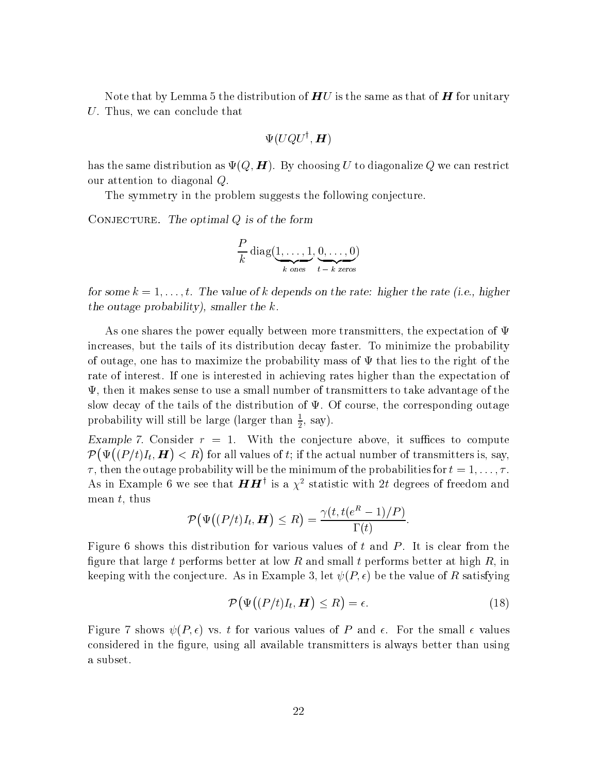Note that by Lemma 5 the distribution of  $HU$  is the same as that of  $H$  for unitary U. Thus, we can conclude that

$$
\Psi(UQU^\dagger, \bm{H})
$$

has the same distribution as  $\pm \{ \psi, \pm \pi \}$ ,  $\pm \frac{1}{2}$  and coming  $\psi$  as distribution  $\psi$ , we can restrict our attention to diagonal Q

The symmetry in the problem suggests the following conjecture.

CONJECTURE. The optimal  $Q$  is of the form

$$
\frac{P}{k} \operatorname{diag}(\underbrace{1, \ldots, 1}_{k \text{ ones}}, \underbrace{0, \ldots, 0}_{t-k \text{ zeros}})
$$

for some  $\kappa = 1, \ldots, \iota$ . The value of  $\kappa$  depends on the rate. Higher the rate  $\mu$ .e., higher the outage probability), smaller the  $k$ .

As one shares the power equally between more transmitters, the expectation of  $\Psi$ increases, but the tails of its distribution decay faster. To minimize the probability of outage, one has to maximize the probability mass of  $\Psi$  that lies to the right of the rate of interest. If one is interested in achieving rates higher than the expectation of  $\Psi$ , then it makes sense to use a small number of transmitters to take advantage of the slow decay of the tails of the distribution of  $\Psi$ . Of course, the corresponding outage probability will still be large (larger than  $\frac{1}{2}$ , say).

 $\text{Example 1.}$  Consider  $r = 1$ . Writh the conjecture above, it sumes to compute  $\mathcal{P}(\Psi((P/t)I_t, H))$  $(P/t)I_t$ ,  $H$ )  $\langle R \rangle$  for all values of t; if the actual number of transmitters is, say, the the outside the minimum of the minimum of the minimum of the probabilities for the probabilities for the p As in Example 6 we see that  $H H$  is a  $\chi\texttt{^-}$  statistic with  $2t$  degrees of freedom and mean  $t$ , thus

$$
\mathcal{P}(\Psi((P/t)I_t, \boldsymbol{H}) \leq R) = \frac{\gamma(t, t(e^R - 1)/P)}{\Gamma(t)}.
$$

Figure 6 shows this distribution for various values of t and  $P$ . It is clear from the figure that large t performs better at low R and small t performs better at high  $R$ , in keeping with the conjecture As in Example let P- be the value of R satisfying

$$
\mathcal{P}\big(\Psi\big((P/t)I_t, \boldsymbol{H}\big) \le R\big) = \epsilon. \tag{18}
$$

 $F_{\rm eff}$  for values of  $F_{\rm eff}$  for values of  $P_{\rm eff}$  and  $F_{\rm eff}$  and  $F_{\rm eff}$  and  $F_{\rm eff}$  and  $F_{\rm eff}$  and  $F_{\rm eff}$  and  $F_{\rm eff}$  and  $F_{\rm eff}$  and  $F_{\rm eff}$  and  $F_{\rm eff}$  and  $F_{\rm eff}$  and  $F_{\rm eff}$  and  $F_{\rm eff}$  and  $F_{\rm eff$ considered in the figure, using all available transmitters is always better than using a subset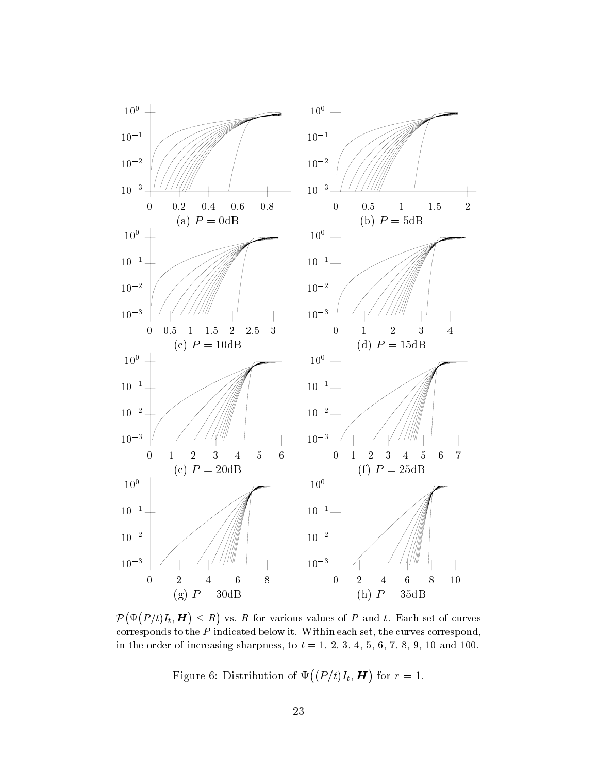

 $\mathcal{P}\left(\Psi\left(P/t\right)I_{t},\boldsymbol{H}\right)\leq R\right)$  vs.  $R$  for ranger is the second contract of the second second second and second the second second second second second second second second second second second second second second second second second second second second second se vs.  $R$  for various values of  $P$  and  $t$ . Each set of curves corresponds to the <sup>P</sup> indicated below it Within each set- the curves correspond-In the order of increasing sharpness, to  $t = 1, 2, 0, 4, 0, 0, 1, 0, 7, 10$  and roo.

Figure 6: Distribution of  $\Psi((P/t)I_t, H)$  for  $r = 1$ .  $\mathcal{L}$  and the contract of the contract of the contract of the contract of the contract of the contract of the contract of the contract of the contract of the contract of the contract of the contract of the contract of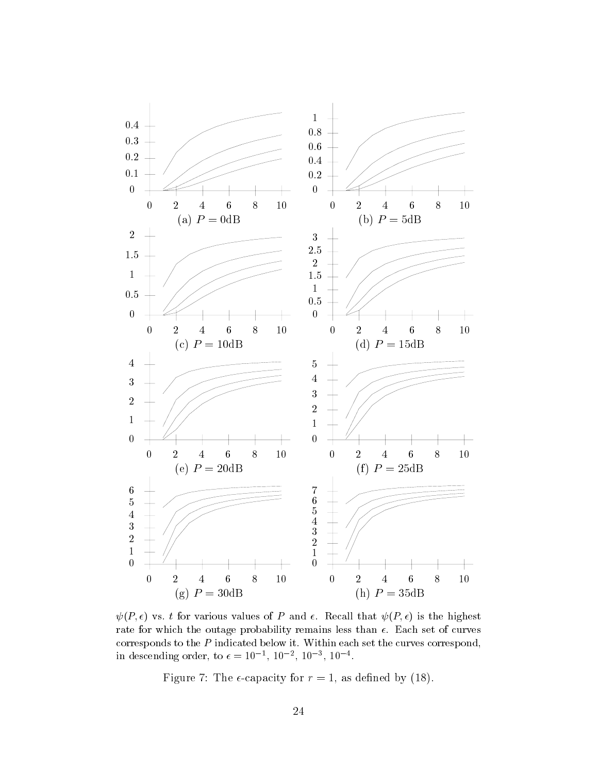

 $\psi$  (2 for value values) of  $P$  and  $\psi$  and  $\psi$  and  $\psi$  and  $\psi$  and  $\psi$  and  $\psi$  and  $\psi$  and  $\psi$ rate for which the outage probability remains less than Each set of curves corresponds to the <sup>P</sup> indicated below it Within each set the curves correspond-In descending order, to  $\epsilon = 10^{-7}$ ,  $10^{-7}$ ,  $10^{-7}$ ,  $10^{-7}$ .

Figure The capacity for r - as dened by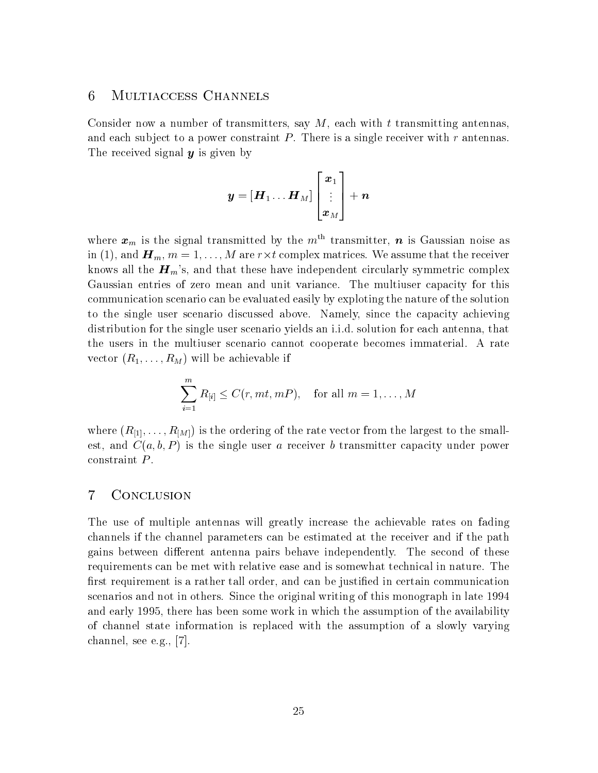## Multiaccess Channels

Consider now a number of transmitters, say  $M$ , each with t transmitting antennas, and each subject to a power constraint  $P$ . There is a single receiver with r antennas. The received signal  $y$  is given by

$$
\boldsymbol{y} = \left[ \boldsymbol{H}_1 \ldots \boldsymbol{H}_M \right] \begin{bmatrix} \boldsymbol{x}_1 \\ \vdots \\ \boldsymbol{x}_M \end{bmatrix} + \boldsymbol{n}
$$

where  $x_m$  is the signal transmitted by the  $m<sup>th</sup>$  transmitter, n is Gaussian noise as in (1), and  $\boldsymbol{H}_m,$   $m=1,\ldots,M$  are  $r \times t$  complex matrices. We assume that the receiver knows all the  $\boldsymbol{H}_{m}$ 's, and that these have independent circularly symmetric complex Gaussian entries of zero mean and unit variance The multiuser capacity for this communication scenario can be evaluated easily by exploting the nature of the solution to the single user scenario discussed above Namely since the capacity achieving distribution for the single user scenario yields an i.i.d. solution for each antenna, that the users in the multiuser scenario cannot cooperate becomes immaterial A rate  $\alpha$  and  $\alpha$  and  $\alpha$  achieves achieve if the action of  $\alpha$  and  $\alpha$  and  $\alpha$  action of  $\alpha$ 

$$
\sum_{i=1}^{m} R_{[i]} \leq C(r, mt, mP), \quad \text{for all } m = 1, \dots, M
$$

 $\lambda = \pm 1$  is the rate rate vector from the rate vector from the small  $\Omega$  . In the small  $\Omega$ est and Ca- b- P is the single user a receiver b transmitter capacity under power constraint P

#### $\overline{7}$ **CONCLUSION**

The use of multiple antennas will greatly increase the achievable rates on fading channels if the channel parameters can be estimated at the receiver and if the path gains between different antenna pairs behave independently. The second of these requirements can be met with relative ease and is somewhat technical in nature. The first requirement is a rather tall order, and can be justified in certain communication scenarios and not in others. Since the original writing of this monograph in late 1994 and early 1995, there has been some work in which the assumption of the availability of channel state information is replaced with the assumption of a slowly varying channel, see e.g.,  $[7]$ .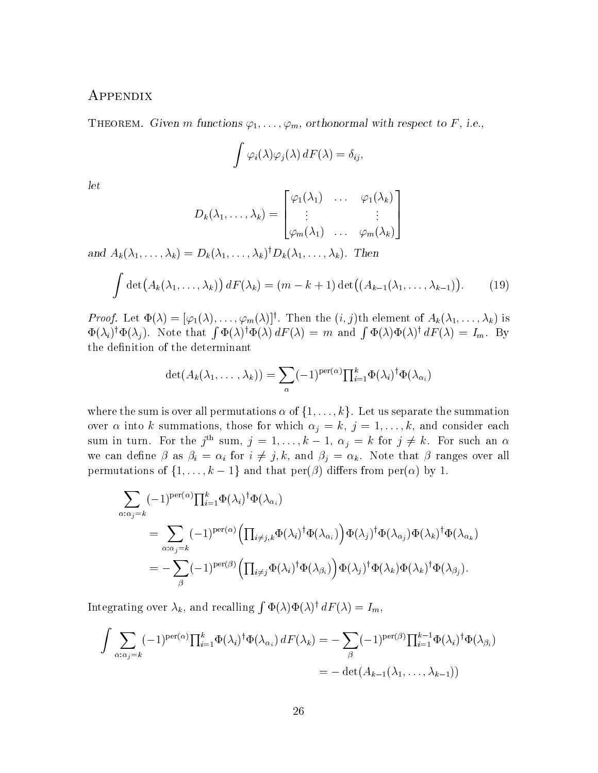## **APPENDIX**

**THEOREM.** Given *m* functions  $\varphi_1, \ldots, \varphi_m$ , orthonormal with respect to  $\Gamma$ , i.e.,

$$
\int \varphi_i(\lambda)\varphi_j(\lambda) dF(\lambda) = \delta_{ij},
$$

let

$$
D_k(\lambda_1,\ldots,\lambda_k) = \begin{bmatrix} \varphi_1(\lambda_1) & \ldots & \varphi_1(\lambda_k) \\ \vdots & & \vdots \\ \varphi_m(\lambda_1) & \ldots & \varphi_m(\lambda_k) \end{bmatrix}
$$

and  $A_k(\lambda_1,\ldots,\lambda_k)=D_k(\lambda_1,\ldots,\lambda_k)D_k(\lambda_1,\ldots,\lambda_k)$ . I nen

$$
\int \det (A_k(\lambda_1,\ldots,\lambda_k)) dF(\lambda_k) = (m-k+1) \det ((A_{k-1}(\lambda_1,\ldots,\lambda_{k-1})).
$$
 (19)

*Proof.* Let  $\Psi(\lambda) = |\varphi_1(\lambda), \ldots, \varphi_m(\lambda)|$ . Then the  $(i, j)$ th element of  $A_k(\lambda_1, \ldots, \lambda_k)$  is  $\Phi(\lambda_i)^{\dagger} \Phi(\lambda_j)$ . Note that  $\int \Phi(\lambda)^{\dagger} \Phi(\lambda) dF(\lambda) = m$  and  $\int \Phi(\lambda) \Phi(\lambda)^{\dagger} dF(\lambda) = I_m$ . By the definition of the determinant

$$
\det(A_k(\lambda_1,\ldots,\lambda_k))=\sum_{\alpha}(-1)^{\operatorname{per}(\alpha)}\textstyle{\prod_{i=1}^k}\Phi(\lambda_i)^\dagger\Phi(\lambda_{\alpha_i})
$$

where the sum is over all permutations  $\alpha$  of  $\{1,\ldots,k\}$ . Let us separate the summation over into k summations those for which j - k j - --k and consider each sum in turn. For the j<sup>th</sup> sum,  $j = 1, ..., k - 1$ ,  $\alpha_j = k$  for  $j \neq k$ . For such an  $\alpha$ we can define  $\beta$  as  $\beta_i = \alpha_i$  for  $i \neq j, k$ , and  $\beta_i = \alpha_k$ . Note that  $\beta$  ranges over all permutations of  $\{1,\ldots,k-1\}$  and that  $\text{per}(\beta)$  differs from  $\text{per}(\alpha)$  by 1.

$$
\sum_{\alpha:\alpha_j=k}(-1)^{\text{per}(\alpha)}\prod_{i=1}^k\Phi(\lambda_i)^{\dagger}\Phi(\lambda_{\alpha_i})
$$
\n
$$
=\sum_{\alpha:\alpha_j=k}(-1)^{\text{per}(\alpha)}\left(\prod_{i\neq j,k}\Phi(\lambda_i)^{\dagger}\Phi(\lambda_{\alpha_i})\right)\Phi(\lambda_j)^{\dagger}\Phi(\lambda_{\alpha_j})\Phi(\lambda_k)^{\dagger}\Phi(\lambda_{\alpha_k})
$$
\n
$$
=-\sum_{\beta}(-1)^{\text{per}(\beta)}\left(\prod_{i\neq j}\Phi(\lambda_i)^{\dagger}\Phi(\lambda_{\beta_i})\right)\Phi(\lambda_j)^{\dagger}\Phi(\lambda_k)\Phi(\lambda_k)^{\dagger}\Phi(\lambda_{\beta_j}).
$$

Integrating over  $\lambda_k$ , and recalling  $\int \Phi(\lambda) \Phi(\lambda) d\lambda = I_m$ ,

$$
\int \sum_{\alpha:\alpha_j=k} (-1)^{\text{per}(\alpha)} \prod_{i=1}^k \Phi(\lambda_i)^{\dagger} \Phi(\lambda_{\alpha_i}) dF(\lambda_k) = -\sum_{\beta} (-1)^{\text{per}(\beta)} \prod_{i=1}^{k-1} \Phi(\lambda_i)^{\dagger} \Phi(\lambda_{\beta_i})
$$
  
=  $-\det(A_{k-1}(\lambda_1,\ldots,\lambda_{k-1}))$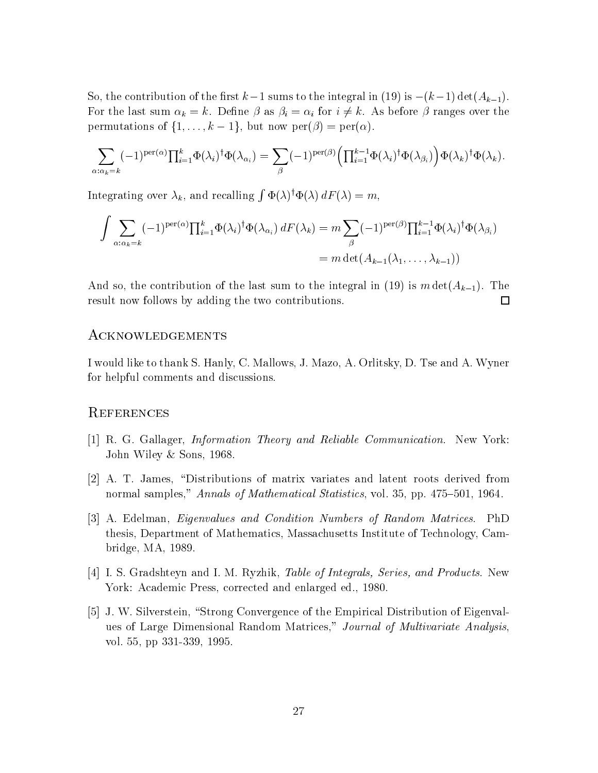So, the contribution of the first  $k-1$  sums to the integral in (19) is  $-(k-1) \det(A_{k-1})$ . For the last sum  $\alpha_k = k$ . Define  $\beta$  as  $\beta_i = \alpha_i$  for  $i \neq k$ . As before  $\beta$  ranges over the permutations of  $\{1,\ldots,k-1\}$ , but now  $\text{per}(\beta) = \text{per}(\alpha)$ .

$$
\sum_{\alpha:\alpha_k=k}(-1)^{\text{per}(\alpha)}\prod_{i=1}^k\Phi(\lambda_i)^{\dagger}\Phi(\lambda_{\alpha_i})=\sum_{\beta}(-1)^{\text{per}(\beta)}\left(\prod_{i=1}^{k-1}\Phi(\lambda_i)^{\dagger}\Phi(\lambda_{\beta_i})\right)\Phi(\lambda_k)^{\dagger}\Phi(\lambda_k).
$$

Integrating over  $\lambda_k$ , and recalling  $\int \Phi(\lambda)^\dagger \Phi(\lambda) dF(\lambda) = m$ ,

$$
\int \sum_{\alpha:\alpha_k=k} (-1)^{\text{per}(\alpha)} \prod_{i=1}^k \Phi(\lambda_i)^{\dagger} \Phi(\lambda_{\alpha_i}) dF(\lambda_k) = m \sum_{\beta} (-1)^{\text{per}(\beta)} \prod_{i=1}^{k-1} \Phi(\lambda_i)^{\dagger} \Phi(\lambda_{\beta_i})
$$

$$
= m \det(A_{k-1}(\lambda_1, \dots, \lambda_{k-1}))
$$

And so, the contribution of the last sum to the integral in (19) is  $m \det(A_{k-1})$ . The result now follows by adding the two contributions  $\Box$ 

#### Acknowledgements

I would like to thank S. Hanly, C. Mallows, J. Mazo, A. Orlitsky, D. Tse and A. Wyner for helpful comments and discussions

#### **REFERENCES**

Z za zapisani koji se na vysokov na vysokov na vysokov na vysokov na vysokov na vysokov na vysokov na vysokov n

- R G Gallager Information Theory and Reliable Communication New York John Wiley & Sons, 1968.
- A T James Distributions of matrix variates and latent roots derived from normal samples," Annals of Mathematical Statistics, vol.  $35$ , pp.  $475-501$ ,  $1964$ .
- A Edelman Eigenvalues and Condition Numbers of Random Matrices PhD thesis Department of Mathematics Massachusetts Institute of Technology Cam bridge,  $MA$ , 1989.
- I S Graduate Table of Table Table of I M Ryzhold Table of I M Ryzhik Table of I M Ryzhold Series And Products N York: Academic Press, corrected and enlarged ed., 1980.
- J W Silverstein Strong Convergence of the Empirical Distribution of Eigenval ues of Large Dimensional Random Matrices," Journal of Multivariate Analysis, vol.  $55$ , pp  $331-339$ ,  $1995$ .